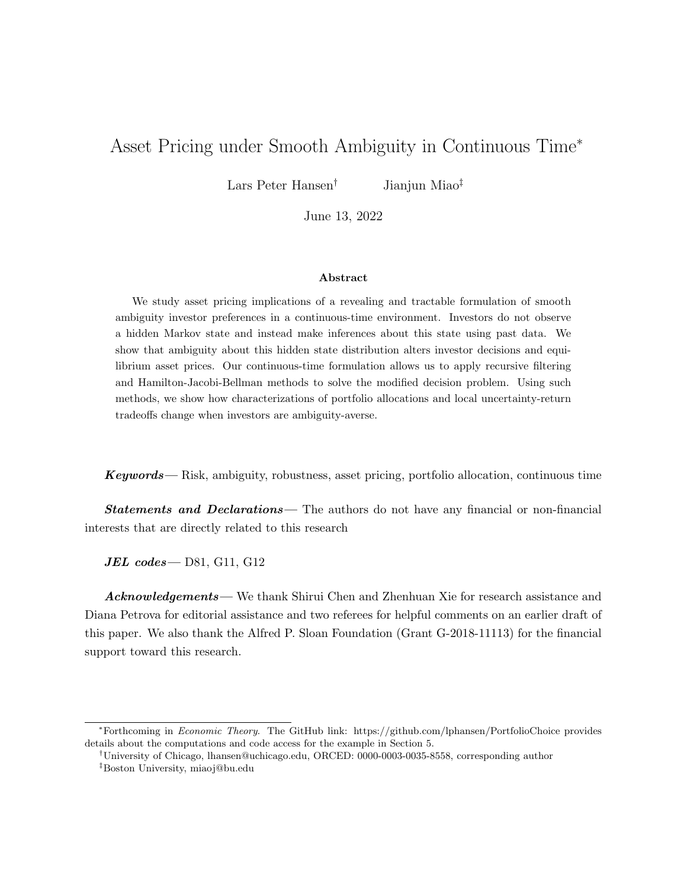# Asset Pricing under Smooth Ambiguity in Continuous Time<sup>∗</sup>

Lars Peter Hansen<sup>†</sup> Jianjun Miao<sup>‡</sup>

June 13, 2022

#### Abstract

We study asset pricing implications of a revealing and tractable formulation of smooth ambiguity investor preferences in a continuous-time environment. Investors do not observe a hidden Markov state and instead make inferences about this state using past data. We show that ambiguity about this hidden state distribution alters investor decisions and equilibrium asset prices. Our continuous-time formulation allows us to apply recursive filtering and Hamilton-Jacobi-Bellman methods to solve the modified decision problem. Using such methods, we show how characterizations of portfolio allocations and local uncertainty-return tradeoffs change when investors are ambiguity-averse.

Keywords— Risk, ambiguity, robustness, asset pricing, portfolio allocation, continuous time

**Statements and Declarations**— The authors do not have any financial or non-financial interests that are directly related to this research

 $JEL$  codes — D81, G11, G12

Acknowledgements— We thank Shirui Chen and Zhenhuan Xie for research assistance and Diana Petrova for editorial assistance and two referees for helpful comments on an earlier draft of this paper. We also thank the Alfred P. Sloan Foundation (Grant G-2018-11113) for the financial support toward this research.

<sup>∗</sup>Forthcoming in Economic Theory. The GitHub link: https://github.com/lphansen/PortfolioChoice provides details about the computations and code access for the example in Section 5.

<sup>†</sup>University of Chicago, lhansen@uchicago.edu, ORCED: 0000-0003-0035-8558, corresponding author

<sup>‡</sup>Boston University, miaoj@bu.edu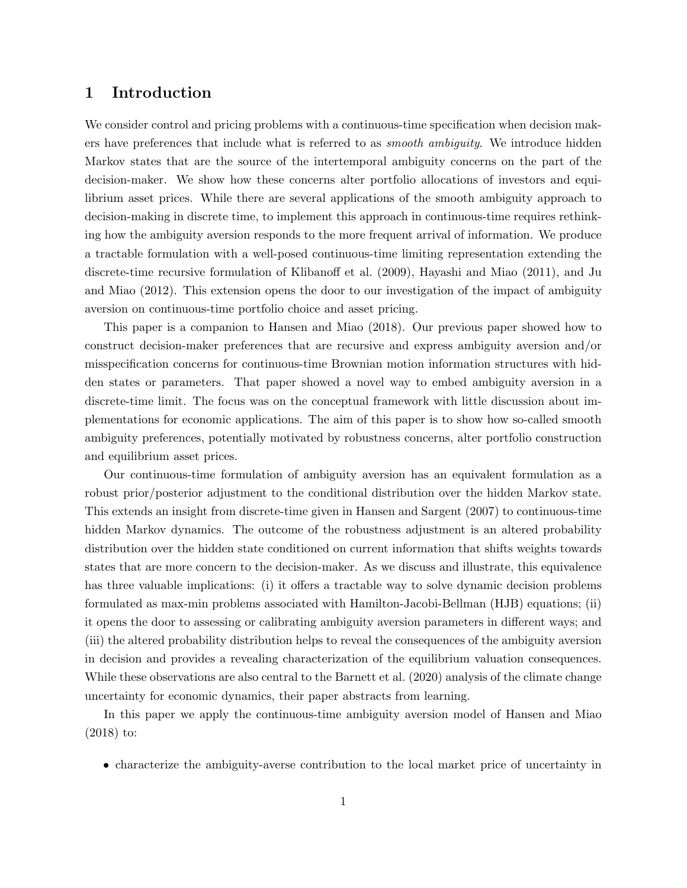# 1 Introduction

We consider control and pricing problems with a continuous-time specification when decision makers have preferences that include what is referred to as *smooth ambiguity*. We introduce hidden Markov states that are the source of the intertemporal ambiguity concerns on the part of the decision-maker. We show how these concerns alter portfolio allocations of investors and equilibrium asset prices. While there are several applications of the smooth ambiguity approach to decision-making in discrete time, to implement this approach in continuous-time requires rethinking how the ambiguity aversion responds to the more frequent arrival of information. We produce a tractable formulation with a well-posed continuous-time limiting representation extending the discrete-time recursive formulation of Klibanoff et al. (2009), Hayashi and Miao (2011), and Ju and Miao (2012). This extension opens the door to our investigation of the impact of ambiguity aversion on continuous-time portfolio choice and asset pricing.

This paper is a companion to Hansen and Miao (2018). Our previous paper showed how to construct decision-maker preferences that are recursive and express ambiguity aversion and/or misspecification concerns for continuous-time Brownian motion information structures with hidden states or parameters. That paper showed a novel way to embed ambiguity aversion in a discrete-time limit. The focus was on the conceptual framework with little discussion about implementations for economic applications. The aim of this paper is to show how so-called smooth ambiguity preferences, potentially motivated by robustness concerns, alter portfolio construction and equilibrium asset prices.

Our continuous-time formulation of ambiguity aversion has an equivalent formulation as a robust prior/posterior adjustment to the conditional distribution over the hidden Markov state. This extends an insight from discrete-time given in Hansen and Sargent (2007) to continuous-time hidden Markov dynamics. The outcome of the robustness adjustment is an altered probability distribution over the hidden state conditioned on current information that shifts weights towards states that are more concern to the decision-maker. As we discuss and illustrate, this equivalence has three valuable implications: (i) it offers a tractable way to solve dynamic decision problems formulated as max-min problems associated with Hamilton-Jacobi-Bellman (HJB) equations; (ii) it opens the door to assessing or calibrating ambiguity aversion parameters in different ways; and (iii) the altered probability distribution helps to reveal the consequences of the ambiguity aversion in decision and provides a revealing characterization of the equilibrium valuation consequences. While these observations are also central to the Barnett et al. (2020) analysis of the climate change uncertainty for economic dynamics, their paper abstracts from learning.

In this paper we apply the continuous-time ambiguity aversion model of Hansen and Miao (2018) to:

• characterize the ambiguity-averse contribution to the local market price of uncertainty in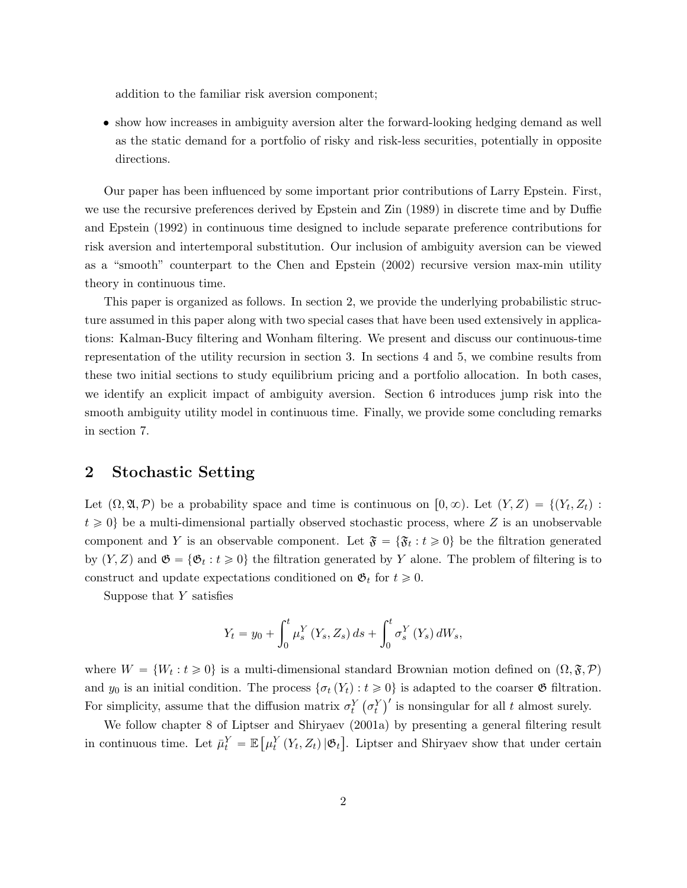addition to the familiar risk aversion component;

• show how increases in ambiguity aversion alter the forward-looking hedging demand as well as the static demand for a portfolio of risky and risk-less securities, potentially in opposite directions.

Our paper has been influenced by some important prior contributions of Larry Epstein. First, we use the recursive preferences derived by Epstein and Zin (1989) in discrete time and by Duffie and Epstein (1992) in continuous time designed to include separate preference contributions for risk aversion and intertemporal substitution. Our inclusion of ambiguity aversion can be viewed as a "smooth" counterpart to the Chen and Epstein (2002) recursive version max-min utility theory in continuous time.

This paper is organized as follows. In section 2, we provide the underlying probabilistic structure assumed in this paper along with two special cases that have been used extensively in applications: Kalman-Bucy filtering and Wonham filtering. We present and discuss our continuous-time representation of the utility recursion in section 3. In sections 4 and 5, we combine results from these two initial sections to study equilibrium pricing and a portfolio allocation. In both cases, we identify an explicit impact of ambiguity aversion. Section 6 introduces jump risk into the smooth ambiguity utility model in continuous time. Finally, we provide some concluding remarks in section 7.

### 2 Stochastic Setting

Let  $(\Omega, \mathfrak{A}, \mathcal{P})$  be a probability space and time is continuous on  $[0, \infty)$ . Let  $(Y, Z) = \{(Y_t, Z_t) :$  $t \geq 0$  be a multi-dimensional partially observed stochastic process, where Z is an unobservable component and Y is an observable component. Let  $\mathfrak{F} = {\mathfrak{F}_t : t \geqslant 0}$  be the filtration generated by  $(Y, Z)$  and  $\mathfrak{G} = {\mathfrak{G}_t : t \geq 0}$  the filtration generated by Y alone. The problem of filtering is to construct and update expectations conditioned on  $\mathfrak{G}_t$  for  $t \geq 0$ .

Suppose that  $Y$  satisfies

$$
Y_{t} = y_{0} + \int_{0}^{t} \mu_{s}^{Y} (Y_{s}, Z_{s}) ds + \int_{0}^{t} \sigma_{s}^{Y} (Y_{s}) dW_{s},
$$

where  $W = \{W_t : t \geq 0\}$  is a multi-dimensional standard Brownian motion defined on  $(\Omega, \mathfrak{F}, \mathcal{P})$ and  $y_0$  is an initial condition. The process  $\{\sigma_t(Y_t): t \geq 0\}$  is adapted to the coarser  $\mathfrak{G}$  filtration. For simplicity, assume that the diffusion matrix  $\sigma_t^Y(\sigma_t^Y)$  $\mathcal{O}_i$  is adapted to the coarser  $\mathcal O$  intratio<br> $\mathcal O'_i$  is nonsingular for all t almost surely.

We follow chapter 8 of Liptser and Shiryaev (2001a) by presenting a general filtering result in continuous time. Let  $\bar{\mu}_t^Y = \mathbb{E}$ "  $\mu_t^Y\left(Y_t,Z_t\right)|\mathfrak{G}_t$  $\frac{v}{1}$ . Liptser and Shiryaev show that under certain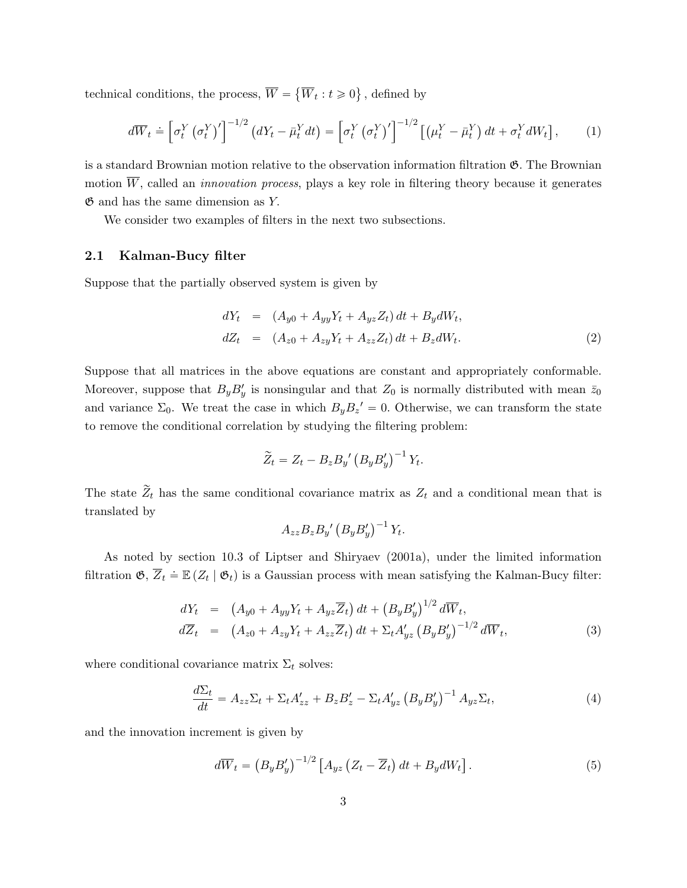technical conditions, the process,  $W =$  $W_t: t \geq 0$ ( , defined by

$$
d\overline{W}_t \doteq \left[\sigma_t^Y \left(\sigma_t^Y\right)'\right]^{-1/2} \left(dY_t - \bar{\mu}_t^Y dt\right) = \left[\sigma_t^Y \left(\sigma_t^Y\right)'\right]^{-1/2} \left[\left(\mu_t^Y - \bar{\mu}_t^Y\right) dt + \sigma_t^Y dW_t\right],\tag{1}
$$

is a standard Brownian motion relative to the observation information filtration G. The Brownian motion  $\overline{W}$ , called an *innovation process*, plays a key role in filtering theory because it generates  $\mathfrak G$  and has the same dimension as Y.

We consider two examples of filters in the next two subsections.

#### 2.1 Kalman-Bucy filter

Suppose that the partially observed system is given by

$$
dY_t = (A_{y0} + A_{yy}Y_t + A_{yz}Z_t) dt + B_y dW_t,
$$
  
\n
$$
dZ_t = (A_{z0} + A_{zy}Y_t + A_{zz}Z_t) dt + B_z dW_t.
$$
\n(2)

Suppose that all matrices in the above equations are constant and appropriately conformable. Moreover, suppose that  $B_y B'_y$  is nonsingular and that  $Z_0$  is normally distributed with mean  $\bar{z}_0$ and variance  $\Sigma_0$ . We treat the case in which  $B_y B_z' = 0$ . Otherwise, we can transform the state to remove the conditional correlation by studying the filtering problem:

$$
\widetilde{Z}_t = Z_t - B_z B_y' \left( B_y B_y' \right)^{-1} Y_t.
$$

The state  $\widetilde{Z}_t$  has the same conditional covariance matrix as  $Z_t$  and a conditional mean that is translated by

$$
A_{zz}B_zB_{y'}(B_yB_y')^{-1}Y_t.
$$

As noted by section 10.3 of Liptser and Shiryaev (2001a), under the limited information filtration  $\mathfrak{G}, \overline{Z}_t \doteq \mathbb{E}(Z_t | \mathfrak{G}_t)$  is a Gaussian process with mean satisfying the Kalman-Bucy filter:

$$
dY_t = (A_{y0} + A_{yy}Y_t + A_{yz}\overline{Z}_t) dt + (B_y B'_y)^{1/2} d\overline{W}_t,d\overline{Z}_t = (A_{z0} + A_{zy}Y_t + A_{zz}\overline{Z}_t) dt + \Sigma_t A'_{yz} (B_y B'_y)^{-1/2} d\overline{W}_t,
$$
\n(3)

where conditional covariance matrix  $\Sigma_t$  solves:

$$
\frac{d\Sigma_t}{dt} = A_{zz}\Sigma_t + \Sigma_t A'_{zz} + B_z B'_z - \Sigma_t A'_{yz} \left(B_y B'_y\right)^{-1} A_{yz} \Sigma_t,\tag{4}
$$

and the innovation increment is given by

$$
d\overline{W}_t = \left(B_y B_y'\right)^{-1/2} \left[A_{yz} \left(Z_t - \overline{Z}_t\right) dt + B_y dW_t\right].\tag{5}
$$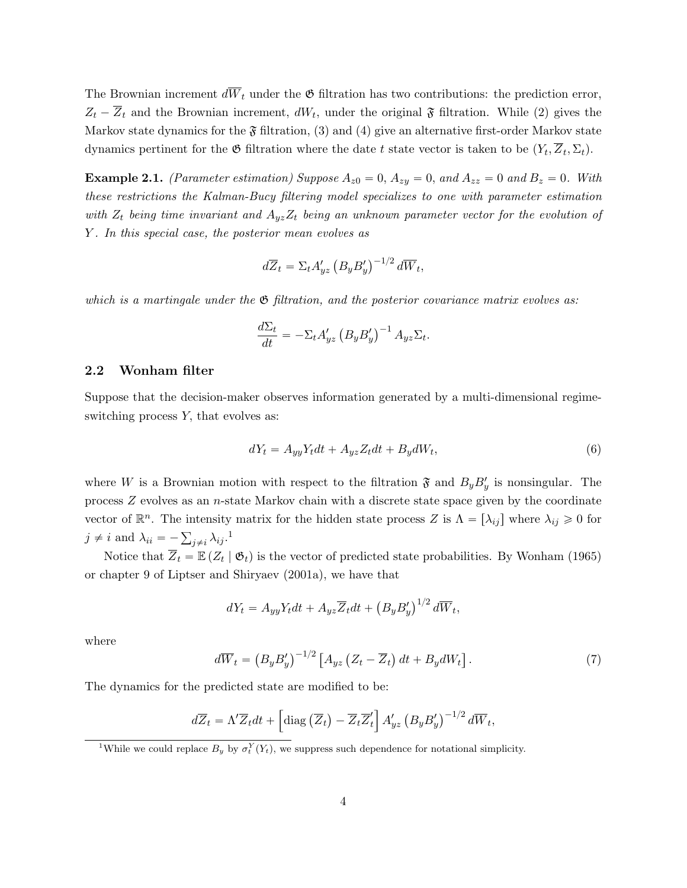The Brownian increment  $d\overline{W}_t$  under the  $\mathfrak G$  filtration has two contributions: the prediction error,  $Z_t - Z_t$  and the Brownian increment,  $dW_t$ , under the original  $\mathfrak{F}$  filtration. While (2) gives the Markov state dynamics for the  $\mathfrak F$  filtration, (3) and (4) give an alternative first-order Markov state dynamics pertinent for the  $\mathfrak G$  filtration where the date t state vector is taken to be  $(Y_t, \overline Z_t, \Sigma_t)$ .

**Example 2.1.** (Parameter estimation) Suppose  $A_{z0} = 0$ ,  $A_{zy} = 0$ , and  $A_{zz} = 0$  and  $B_z = 0$ . With these restrictions the Kalman-Bucy filtering model specializes to one with parameter estimation with  $Z_t$  being time invariant and  $A_{yz}Z_t$  being an unknown parameter vector for the evolution of Y. In this special case, the posterior mean evolves as

$$
d\overline{Z}_t = \Sigma_t A'_{yz} \left( B_y B'_y \right)^{-1/2} d\overline{W}_t,
$$

which is a martingale under the  $\mathfrak{G}$  filtration, and the posterior covariance matrix evolves as:

$$
\frac{d\Sigma_t}{dt} = -\Sigma_t A'_{yz} \left( B_y B'_y \right)^{-1} A_{yz} \Sigma_t.
$$

#### 2.2 Wonham filter

Suppose that the decision-maker observes information generated by a multi-dimensional regimeswitching process Y, that evolves as:

$$
dY_t = A_{yy}Y_t dt + A_{yz}Z_t dt + B_y dW_t,
$$
\n<sup>(6)</sup>

where W is a Brownian motion with respect to the filtration  $\mathfrak{F}$  and  $B_yB'_y$  is nonsingular. The process  $Z$  evolves as an *n*-state Markov chain with a discrete state space given by the coordinate vector of  $\mathbb{R}^n$ . The intensity matrix for the hidden state process Z is  $\Lambda = [\lambda_{ij}]$  where  $\lambda_{ij} \geq 0$  for  $j \neq i$  and  $\lambda_{ii} = -\sum_{j \neq i} \lambda_{ij}$ .<sup>1</sup>

Notice that  $\overline{Z}_t = \mathbb{E} (Z_t | \mathfrak{G}_t)$  is the vector of predicted state probabilities. By Wonham (1965) or chapter 9 of Liptser and Shiryaev (2001a), we have that

$$
dY_t = A_{yy}Y_t dt + A_{yz}\overline{Z}_t dt + (B_y B_y')^{1/2} d\overline{W}_t,
$$

where

$$
d\overline{W}_t = \left(B_y B_y'\right)^{-1/2} \left[A_{yz} \left(Z_t - \overline{Z}_t\right) dt + B_y dW_t\right].\tag{7}
$$

The dynamics for the predicted state are modified to be:

$$
d\overline{Z}_t = \Lambda' \overline{Z}_t dt + \left[ \text{diag}\left( \overline{Z}_t \right) - \overline{Z}_t \overline{Z}'_t \right] A'_{yz} \left( B_y B'_y \right)^{-1/2} d\overline{W}_t,
$$

<sup>&</sup>lt;sup>1</sup>While we could replace  $B_y$  by  $\sigma_t^Y(Y_t)$ , we suppress such dependence for notational simplicity.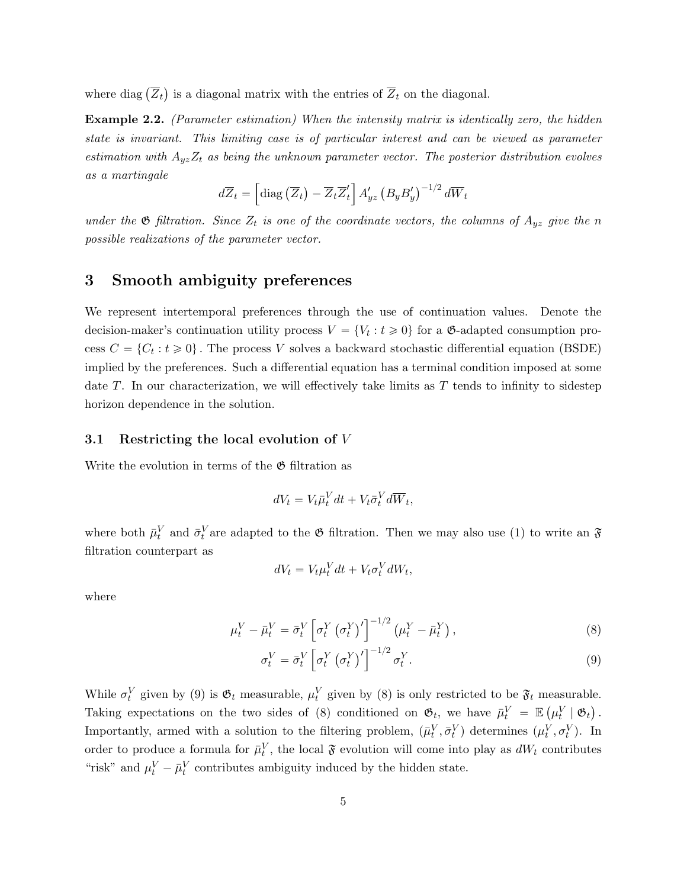where diag  $(\overline{Z}_t)$ is a diagonal matrix with the entries of  $Z_t$  on the diagonal.

Example 2.2. (Parameter estimation) When the intensity matrix is identically zero, the hidden state is invariant. This limiting case is of particular interest and can be viewed as parameter estimation with  $A_{yz}Z_t$  as being the unknown parameter vector. The posterior distribution evolves as a martingale " ı

$$
d\overline{Z}_t = \left[ \text{diag}\left( \overline{Z}_t \right) - \overline{Z}_t \overline{Z}'_t \right] A'_{yz} \left( B_y B'_y \right)^{-1/2} d\overline{W}_t
$$

under the  $\mathfrak G$  filtration. Since  $Z_t$  is one of the coordinate vectors, the columns of  $A_{yz}$  give the n possible realizations of the parameter vector.

# 3 Smooth ambiguity preferences

We represent intertemporal preferences through the use of continuation values. Denote the decision-maker's continuation utility process  $V = \{V_t : t \geq 0\}$  for a  $\mathfrak{G}$ -adapted consumption process  $C = \{C_t : t \geq 0\}$ . The process V solves a backward stochastic differential equation (BSDE) implied by the preferences. Such a differential equation has a terminal condition imposed at some date  $T$ . In our characterization, we will effectively take limits as  $T$  tends to infinity to sidestep horizon dependence in the solution.

#### 3.1 Restricting the local evolution of V

Write the evolution in terms of the  $\mathfrak G$  filtration as

$$
dV_t = V_t \bar{\mu}_t^V dt + V_t \bar{\sigma}_t^V d\overline{W}_t,
$$

where both  $\bar{\mu}_t^V$  and  $\bar{\sigma}_t^V$  are adapted to the  $\mathfrak G$  filtration. Then we may also use (1) to write an  $\mathfrak F$ filtration counterpart as

$$
dV_t = V_t \mu_t^V dt + V_t \sigma_t^V dW_t,
$$

where

$$
\mu_t^V - \bar{\mu}_t^V = \bar{\sigma}_t^V \left[ \sigma_t^Y \left( \sigma_t^Y \right)' \right]^{-1/2} \left( \mu_t^Y - \bar{\mu}_t^Y \right),\tag{8}
$$

$$
\sigma_t^V = \bar{\sigma}_t^V \left[ \sigma_t^Y \left( \sigma_t^Y \right)' \right]^{-1/2} \sigma_t^Y. \tag{9}
$$

While  $\sigma_t^V$  given by (9) is  $\mathfrak{G}_t$  measurable,  $\mu_t^V$  given by (8) is only restricted to be  $\mathfrak{F}_t$  measurable. Taking expectations on the two sides of (8) conditioned on  $\mathfrak{G}_t$ , we have  $\bar{\mu}_t^V = \mathbb{E}(\mu_t^V | \mathfrak{G}_t)$ . Importantly, armed with a solution to the filtering problem,  $(\bar{\mu}_t^V, \bar{\sigma}_t^V)$  determines  $(\mu_t^V, \sigma_t^V)$ . In order to produce a formula for  $\bar{\mu}_t^V$ , the local  $\mathfrak F$  evolution will come into play as  $dW_t$  contributes "risk" and  $\mu_t^V - \bar{\mu}_t^V$  contributes ambiguity induced by the hidden state.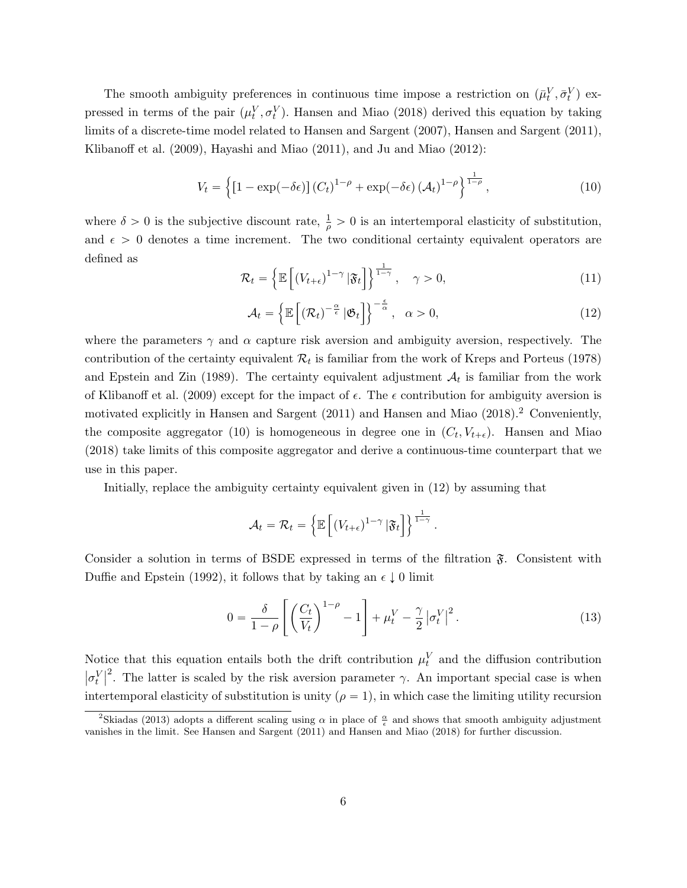The smooth ambiguity preferences in continuous time impose a restriction on  $(\bar{\mu}_t^V, \bar{\sigma}_t^V)$  expressed in terms of the pair  $(\mu_t^V, \sigma_t^V)$ . Hansen and Miao (2018) derived this equation by taking limits of a discrete-time model related to Hansen and Sargent (2007), Hansen and Sargent (2011), Klibanoff et al. (2009), Hayashi and Miao (2011), and Ju and Miao (2012):

$$
V_t = \left\{ \left[1 - \exp(-\delta \epsilon) \right] (C_t)^{1 - \rho} + \exp(-\delta \epsilon) (\mathcal{A}_t)^{1 - \rho} \right\}^{\frac{1}{1 - \rho}},\tag{10}
$$

where  $\delta > 0$  is the subjective discount rate,  $\frac{1}{\rho} > 0$  is an intertemporal elasticity of substitution, and  $\epsilon > 0$  denotes a time increment. The two conditional certainty equivalent operators are defined as **1980** "  $\frac{1}{2}$ 

$$
\mathcal{R}_t = \left\{ \mathbb{E}\left[ (V_{t+\epsilon})^{1-\gamma} \, | \mathfrak{F}_t \right] \right\}^{\frac{1}{1-\gamma}}, \quad \gamma > 0,
$$
\n(11)

$$
\mathcal{A}_t = \left\{ \mathbb{E}\left[ \left( \mathcal{R}_t \right)^{-\frac{\alpha}{\epsilon}} | \mathfrak{G}_t \right] \right\}^{-\frac{\epsilon}{\alpha}}, \quad \alpha > 0,
$$
\n(12)

where the parameters  $\gamma$  and  $\alpha$  capture risk aversion and ambiguity aversion, respectively. The contribution of the certainty equivalent  $\mathcal{R}_t$  is familiar from the work of Kreps and Porteus (1978) and Epstein and Zin (1989). The certainty equivalent adjustment  $A_t$  is familiar from the work of Klibanoff et al. (2009) except for the impact of  $\epsilon$ . The  $\epsilon$  contribution for ambiguity aversion is motivated explicitly in Hansen and Sargent (2011) and Hansen and Miao (2018).<sup>2</sup> Conveniently, the composite aggregator (10) is homogeneous in degree one in  $(C_t, V_{t+\epsilon})$ . Hansen and Miao (2018) take limits of this composite aggregator and derive a continuous-time counterpart that we use in this paper.

Initially, replace the ambiguity certainty equivalent given in (12) by assuming that

$$
\mathcal{A}_t = \mathcal{R}_t = \left\{ \mathbb{E}\left[ \left( V_{t+\epsilon} \right)^{1-\gamma} \left| \mathfrak{F}_t \right] \right\}^{\frac{1}{1-\gamma}}.
$$

Consider a solution in terms of BSDE expressed in terms of the filtration  $\mathfrak{F}$ . Consistent with Duffie and Epstein (1992), it follows that by taking an  $\epsilon \downarrow 0$  limit

$$
0 = \frac{\delta}{1-\rho} \left[ \left( \frac{C_t}{V_t} \right)^{1-\rho} - 1 \right] + \mu_t^V - \frac{\gamma}{2} |\sigma_t^V|^2.
$$
 (13)

Notice that this equation entails both the drift contribution  $\mu_t^V$  and the diffusion contribution  $|\sigma_t^V|^2$ . The latter is scaled by the risk aversion parameter  $\gamma$ . An important special case is when intertemporal elasticity of substitution is unity  $(\rho = 1)$ , in which case the limiting utility recursion

<sup>&</sup>lt;sup>2</sup>Skiadas (2013) adopts a different scaling using  $\alpha$  in place of  $\frac{\alpha}{\epsilon}$  and shows that smooth ambiguity adjustment vanishes in the limit. See Hansen and Sargent (2011) and Hansen and Miao (2018) for further discussion.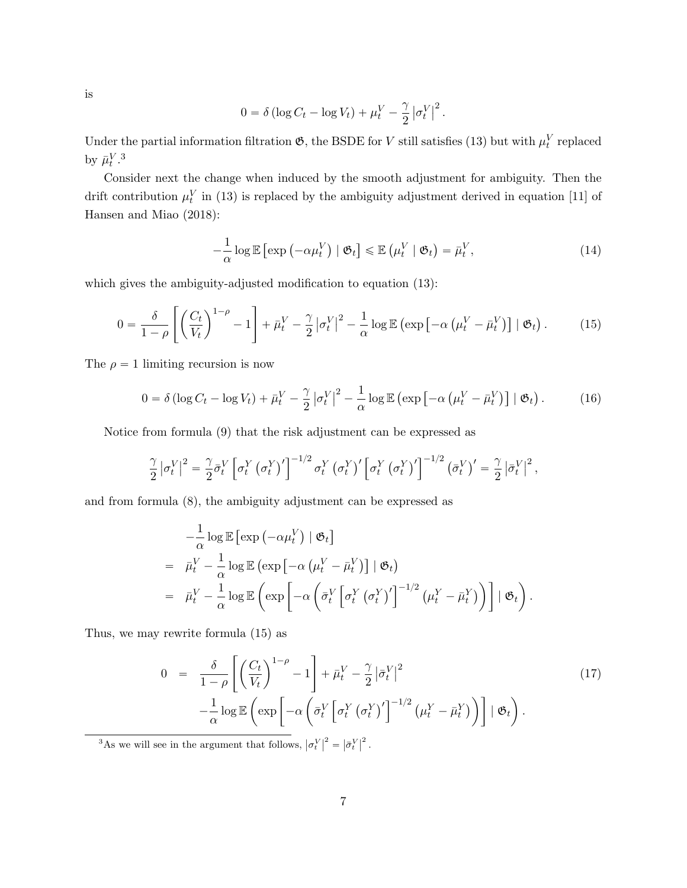is

$$
0 = \delta \left( \log C_t - \log V_t \right) + \mu_t^V - \frac{\gamma}{2} \left| \sigma_t^V \right|^2.
$$

Under the partial information filtration  $\mathfrak{G}$ , the BSDE for V still satisfies (13) but with  $\mu_t^V$  replaced by  $\bar{\mu}_t^{V.3}$ 

Consider next the change when induced by the smooth adjustment for ambiguity. Then the drift contribution  $\mu_t^V$  in (13) is replaced by the ambiguity adjustment derived in equation [11] of Hansen and Miao (2018):

$$
-\frac{1}{\alpha}\log \mathbb{E}\left[\exp\left(-\alpha\mu_t^V\right) \mid \mathfrak{G}_t\right] \leq \mathbb{E}\left(\mu_t^V \mid \mathfrak{G}_t\right) = \bar{\mu}_t^V,\tag{14}
$$

which gives the ambiguity-adjusted modification to equation  $(13)$ :

$$
0 = \frac{\delta}{1-\rho} \left[ \left( \frac{C_t}{V_t} \right)^{1-\rho} - 1 \right] + \bar{\mu}_t^V - \frac{\gamma}{2} \left| \sigma_t^V \right|^2 - \frac{1}{\alpha} \log \mathbb{E} \left( \exp \left[ -\alpha \left( \mu_t^V - \bar{\mu}_t^V \right) \right] \mid \mathfrak{G}_t \right). \tag{15}
$$

The  $\rho = 1$  limiting recursion is now

$$
0 = \delta \left( \log C_t - \log V_t \right) + \bar{\mu}_t^V - \frac{\gamma}{2} \left| \sigma_t^V \right|^2 - \frac{1}{\alpha} \log \mathbb{E} \left( \exp \left[ -\alpha \left( \mu_t^V - \bar{\mu}_t^V \right) \right] \mid \mathfrak{G}_t \right). \tag{16}
$$

Notice from formula (9) that the risk adjustment can be expressed as

$$
\frac{\gamma}{2} |\sigma_t^V|^2 = \frac{\gamma}{2} \bar{\sigma}_t^V \left[ \sigma_t^Y (\sigma_t^Y)' \right]^{-1/2} \sigma_t^Y (\sigma_t^Y)' \left[ \sigma_t^Y (\sigma_t^Y)' \right]^{-1/2} (\bar{\sigma}_t^V)' = \frac{\gamma}{2} |\bar{\sigma}_t^V|^2,
$$

and from formula (8), the ambiguity adjustment can be expressed as

$$
-\frac{1}{\alpha}\log \mathbb{E}\left[\exp\left(-\alpha\mu_t^V\right) \mid \mathfrak{G}_t\right]
$$
  
=  $\bar{\mu}_t^V - \frac{1}{\alpha}\log \mathbb{E}\left(\exp\left[-\alpha\left(\mu_t^V - \bar{\mu}_t^V\right)\right] \mid \mathfrak{G}_t\right)$   
=  $\bar{\mu}_t^V - \frac{1}{\alpha}\log \mathbb{E}\left(\exp\left[-\alpha\left(\bar{\sigma}_t^V\left[\sigma_t^Y\left(\sigma_t^Y\right)'\right]^{-1/2}\left(\mu_t^Y - \bar{\mu}_t^Y\right)\right)\right] \mid \mathfrak{G}_t\right).$ 

Thus, we may rewrite formula (15) as

$$
0 = \frac{\delta}{1-\rho} \left[ \left( \frac{C_t}{V_t} \right)^{1-\rho} - 1 \right] + \bar{\mu}_t^V - \frac{\gamma}{2} |\bar{\sigma}_t^V|^2
$$
  

$$
-\frac{1}{\alpha} \log \mathbb{E} \left( \exp \left[ -\alpha \left( \bar{\sigma}_t^V \left[ \sigma_t^Y \left( \sigma_t^Y \right)' \right]^{-1/2} \left( \mu_t^Y - \bar{\mu}_t^Y \right) \right) \right] \mid \mathfrak{G}_t \right).
$$
 (17)

<sup>3</sup>As we will see in the argument that follows,  $\sigma_t^V$  $\vert^2$  =  $\bar{\sigma}^V_t$  $\vert^2$ .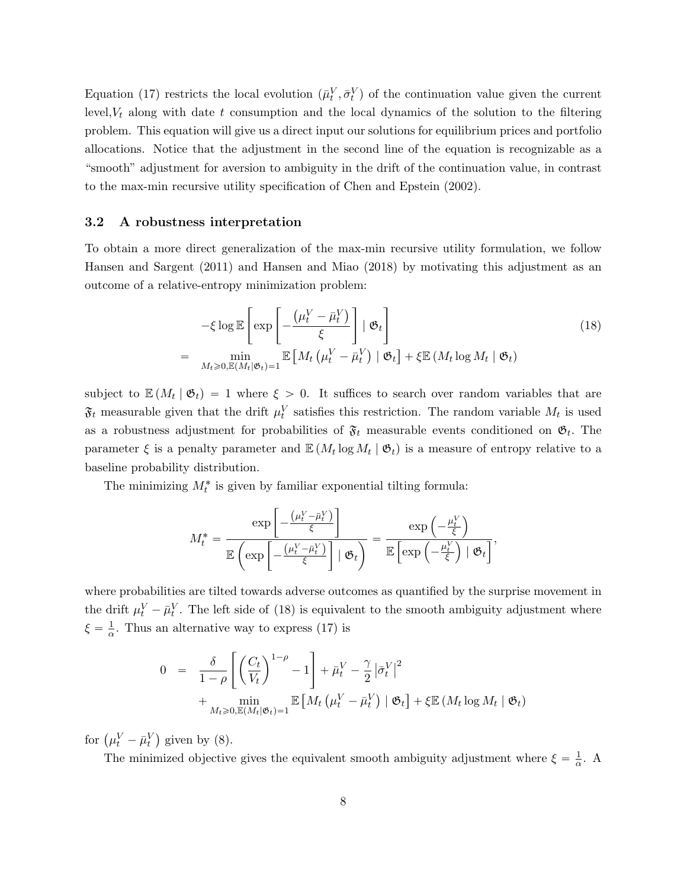Equation (17) restricts the local evolution  $(\bar{\mu}_t^V, \bar{\sigma}_t^V)$  of the continuation value given the current level,  $V_t$  along with date t consumption and the local dynamics of the solution to the filtering problem. This equation will give us a direct input our solutions for equilibrium prices and portfolio allocations. Notice that the adjustment in the second line of the equation is recognizable as a "smooth" adjustment for aversion to ambiguity in the drift of the continuation value, in contrast to the max-min recursive utility specification of Chen and Epstein (2002).

#### 3.2 A robustness interpretation

To obtain a more direct generalization of the max-min recursive utility formulation, we follow Hansen and Sargent (2011) and Hansen and Miao (2018) by motivating this adjustment as an outcome of a relative-entropy minimization problem:

$$
-\xi \log \mathbb{E}\left[\exp\left[-\frac{(\mu_t^V - \bar{\mu}_t^V)}{\xi}\right] \mid \mathfrak{G}_t\right]
$$
  
= 
$$
\min_{M_t \geq 0, \mathbb{E}(M_t|\mathfrak{G}_t)=1} \mathbb{E}\left[M_t\left(\mu_t^V - \bar{\mu}_t^V\right) \mid \mathfrak{G}_t\right] + \xi \mathbb{E}\left(M_t \log M_t \mid \mathfrak{G}_t\right)
$$
 (18)

subject to  $\mathbb{E}(M_t | \mathfrak{G}_t) = 1$  where  $\xi > 0$ . It suffices to search over random variables that are  $\mathfrak{F}_t$  measurable given that the drift  $\mu_t^V$  satisfies this restriction. The random variable  $M_t$  is used as a robustness adjustment for probabilities of  $\mathfrak{F}_t$  measurable events conditioned on  $\mathfrak{G}_t$ . The parameter  $\xi$  is a penalty parameter and  $\mathbb{E}(M_t \log M_t | \mathfrak{G}_t)$  is a measure of entropy relative to a baseline probability distribution.

The minimizing  $M_t^*$  is given by familiar exponential tilting formula:

$$
M_t^* = \frac{\exp\left[-\frac{\left(\mu_t^V - \bar{\mu}_t^V\right)}{\xi}\right]}{\mathbb{E}\left(\exp\left[-\frac{\left(\mu_t^V - \bar{\mu}_t^V\right)}{\xi}\right] \mid \mathfrak{G}_t\right)} = \frac{\exp\left(-\frac{\mu_t^V}{\xi}\right)}{\mathbb{E}\left[\exp\left(-\frac{\mu_t^V}{\xi}\right) \mid \mathfrak{G}_t\right]},
$$

where probabilities are tilted towards adverse outcomes as quantified by the surprise movement in the drift  $\mu_t^V - \bar{\mu}_t^V$ . The left side of (18) is equivalent to the smooth ambiguity adjustment where  $\xi = \frac{1}{\alpha}$  $\frac{1}{\alpha}$ . Thus an alternative way to express (17) is

$$
0 = \frac{\delta}{1-\rho} \left[ \left( \frac{C_t}{V_t} \right)^{1-\rho} - 1 \right] + \bar{\mu}_t^V - \frac{\gamma}{2} |\bar{\sigma}_t^V|^2
$$
  
+ 
$$
\min_{M_t \ge 0, \mathbb{E}(M_t | \mathfrak{G}_t) = 1} \mathbb{E} \left[ M_t \left( \mu_t^V - \bar{\mu}_t^V \right) \mid \mathfrak{G}_t \right] + \xi \mathbb{E} \left( M_t \log M_t \mid \mathfrak{G}_t \right)
$$

for  $(\mu_t^V - \bar{\mu}_t^V)$ given by (8).

> The minimized objective gives the equivalent smooth ambiguity adjustment where  $\xi = \frac{1}{\alpha}$  $\frac{1}{\alpha}$ . A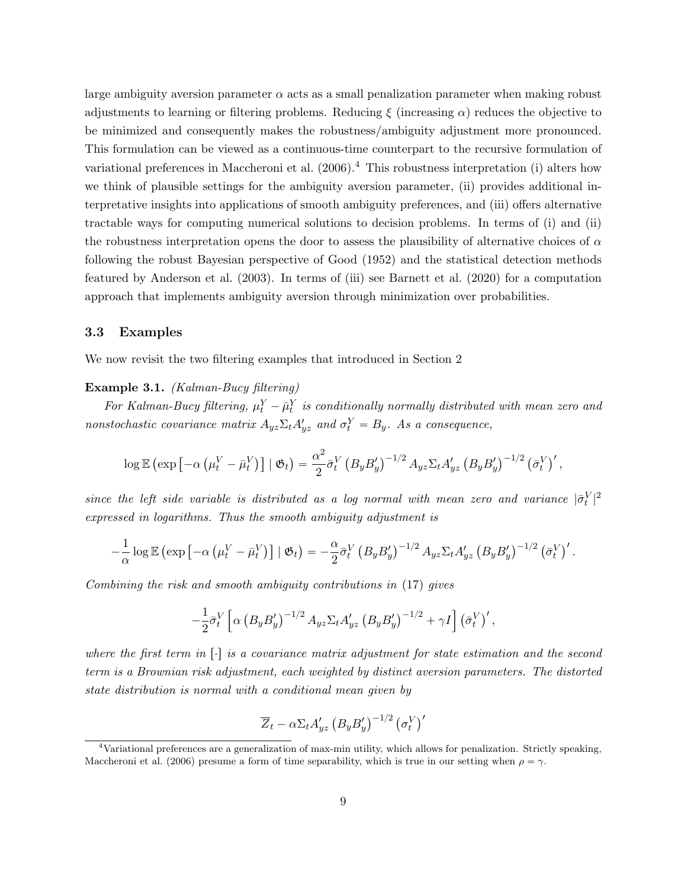large ambiguity aversion parameter  $\alpha$  acts as a small penalization parameter when making robust adjustments to learning or filtering problems. Reducing  $\xi$  (increasing  $\alpha$ ) reduces the objective to be minimized and consequently makes the robustness/ambiguity adjustment more pronounced. This formulation can be viewed as a continuous-time counterpart to the recursive formulation of variational preferences in Maccheroni et al.  $(2006)^{4}$  This robustness interpretation (i) alters how we think of plausible settings for the ambiguity aversion parameter, (ii) provides additional interpretative insights into applications of smooth ambiguity preferences, and (iii) offers alternative tractable ways for computing numerical solutions to decision problems. In terms of (i) and (ii) the robustness interpretation opens the door to assess the plausibility of alternative choices of  $\alpha$ following the robust Bayesian perspective of Good (1952) and the statistical detection methods featured by Anderson et al. (2003). In terms of (iii) see Barnett et al. (2020) for a computation approach that implements ambiguity aversion through minimization over probabilities.

#### 3.3 Examples

We now revisit the two filtering examples that introduced in Section 2

#### Example 3.1. (Kalman-Bucy filtering)

For Kalman-Bucy filtering,  $\mu_t^Y - \bar{\mu}_t^Y$  is conditionally normally distributed with mean zero and nonstochastic covariance matrix  $A_{yz}\Sigma_t A_{yz}'$  and  $\sigma_t^Y = B_y$ . As a consequence,

$$
\log \mathbb{E} \left( \exp \left[ -\alpha \left( \mu_t^V - \bar{\mu}_t^V \right) \right] \mid \mathfrak{G}_t \right) = \frac{\alpha^2}{2} \bar{\sigma}_t^V \left( B_y B_y' \right)^{-1/2} A_{yz} \Sigma_t A_{yz}' \left( B_y B_y' \right)^{-1/2} \left( \bar{\sigma}_t^V \right)',
$$

since the left side variable is distributed as a log normal with mean zero and variance  $|\bar{\sigma}_t^V|^2$ expressed in logarithms. Thus the smooth ambiguity adjustment is

$$
-\frac{1}{\alpha}\log \mathbb{E}\left(\exp\left[-\alpha\left(\mu_t^V-\bar{\mu}_t^V\right)\right] \mid \mathfrak{G}_t\right) = -\frac{\alpha}{2}\bar{\sigma}_t^V\left(B_yB_y'\right)^{-1/2}A_{yz}\Sigma_tA_{yz}'\left(B_yB_y'\right)^{-1/2}\left(\bar{\sigma}_t^V\right)'.
$$

Combining the risk and smooth ambiguity contributions in (17) gives

$$
-\frac{1}{2}\bar{\sigma}_t^V \left[ \alpha \left( B_y B_y' \right)^{-1/2} A_{yz} \Sigma_t A_{yz}' \left( B_y B_y' \right)^{-1/2} + \gamma I \right] \left( \bar{\sigma}_t^V \right)',
$$

where the first term in  $\lceil \cdot \rceil$  is a covariance matrix adjustment for state estimation and the second term is a Brownian risk adjustment, each weighted by distinct aversion parameters. The distorted state distribution is normal with a conditional mean given by

$$
\overline{Z}_t - \alpha \Sigma_t A'_{yz} \left( B_y B'_y \right)^{-1/2} \left( \sigma_t^V \right)'
$$

<sup>4</sup>Variational preferences are a generalization of max-min utility, which allows for penalization. Strictly speaking, Maccheroni et al. (2006) presume a form of time separability, which is true in our setting when  $\rho = \gamma$ .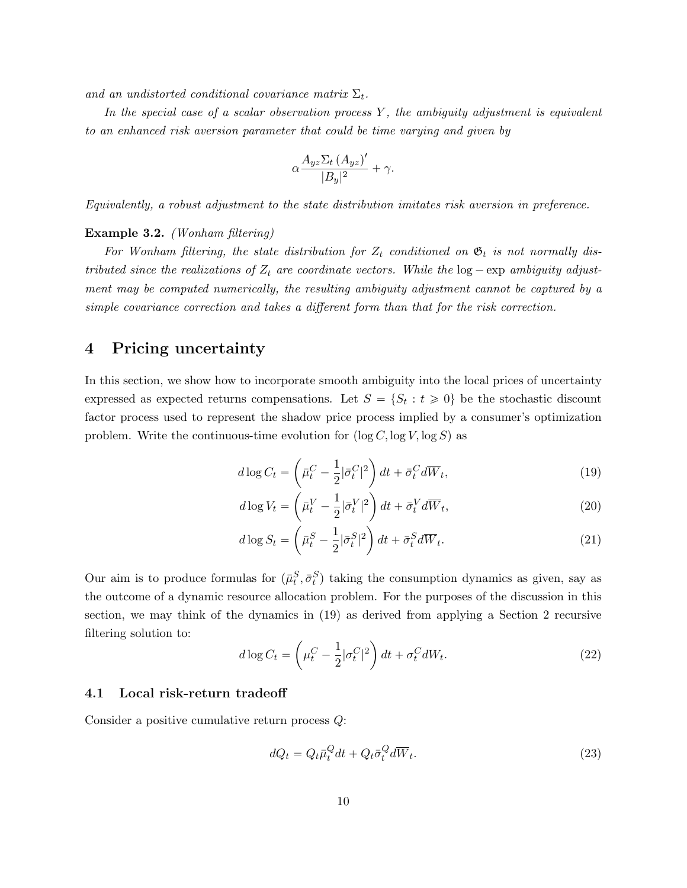and an undistorted conditional covariance matrix  $\Sigma_t$ .

In the special case of a scalar observation process  $Y$ , the ambiguity adjustment is equivalent to an enhanced risk aversion parameter that could be time varying and given by

$$
\alpha \frac{A_{yz} \Sigma_t (A_{yz})'}{|B_y|^2} + \gamma.
$$

Equivalently, a robust adjustment to the state distribution imitates risk aversion in preference.

#### Example 3.2. (Wonham filtering)

For Wonham filtering, the state distribution for  $Z_t$  conditioned on  $\mathfrak{G}_t$  is not normally distributed since the realizations of  $Z_t$  are coordinate vectors. While the  $log$  - exp ambiguity adjustment may be computed numerically, the resulting ambiguity adjustment cannot be captured by a simple covariance correction and takes a different form than that for the risk correction.

### 4 Pricing uncertainty

In this section, we show how to incorporate smooth ambiguity into the local prices of uncertainty expressed as expected returns compensations. Let  $S = \{S_t : t \geq 0\}$  be the stochastic discount factor process used to represent the shadow price process implied by a consumer's optimization problem. Write the continuous-time evolution for  $(\log C, \log V, \log S)$  as

$$
d\log C_t = \left(\bar{\mu}_t^C - \frac{1}{2}|\bar{\sigma}_t^C|^2\right)dt + \bar{\sigma}_t^C d\overline{W}_t,
$$
\n(19)

$$
d\log V_t = \left(\bar{\mu}_t^V - \frac{1}{2}|\bar{\sigma}_t^V|^2\right)dt + \bar{\sigma}_t^V d\overline{W}_t,
$$
\n(20)

$$
d\log S_t = \left(\bar{\mu}_t^S - \frac{1}{2}|\bar{\sigma}_t^S|^2\right)dt + \bar{\sigma}_t^S d\overline{W}_t.
$$
\n(21)

Our aim is to produce formulas for  $(\bar{\mu}_t^S, \bar{\sigma}_t^S)$  taking the consumption dynamics as given, say as the outcome of a dynamic resource allocation problem. For the purposes of the discussion in this section, we may think of the dynamics in (19) as derived from applying a Section 2 recursive filtering solution to:

$$
d\log C_t = \left(\mu_t^C - \frac{1}{2} |\sigma_t^C|^2\right) dt + \sigma_t^C dW_t.
$$
\n(22)

#### 4.1 Local risk-return tradeoff

Consider a positive cumulative return process Q:

$$
dQ_t = Q_t \bar{\mu}_t^Q dt + Q_t \bar{\sigma}_t^Q d\overline{W}_t.
$$
\n(23)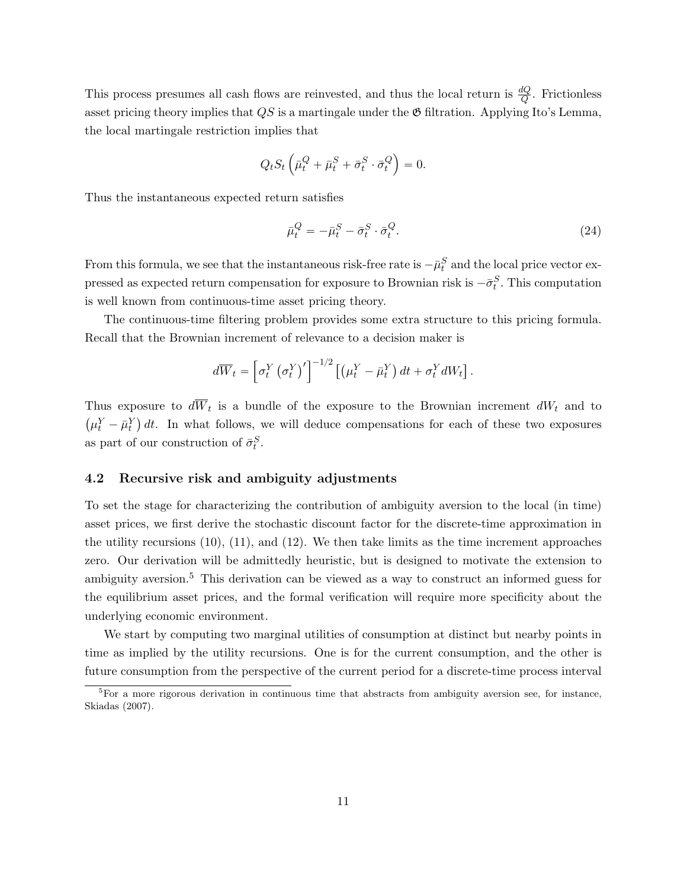This process presumes all cash flows are reinvested, and thus the local return is  $\frac{dQ}{Q}$ . Frictionless asset pricing theory implies that  $QS$  is a martingale under the  $\mathfrak G$  filtration. Applying Ito's Lemma, the local martingale restriction implies that

$$
Q_t S_t \left( \bar{\mu}_t^Q + \bar{\mu}_t^S + \bar{\sigma}_t^S \cdot \bar{\sigma}_t^Q \right) = 0.
$$

Thus the instantaneous expected return satisfies

$$
\bar{\mu}_t^Q = -\bar{\mu}_t^S - \bar{\sigma}_t^S \cdot \bar{\sigma}_t^Q. \tag{24}
$$

From this formula, we see that the instantaneous risk-free rate is  $-\bar{\mu}_t^S$  and the local price vector expressed as expected return compensation for exposure to Brownian risk is  $-\bar{\sigma}_t^S$ . This computation is well known from continuous-time asset pricing theory.

The continuous-time filtering problem provides some extra structure to this pricing formula. Recall that the Brownian increment of relevance to a decision maker is

$$
d\overline{W}_t = \left[\sigma_t^Y \left(\sigma_t^Y\right)'\right]^{-1/2} \left[\left(\mu_t^Y - \bar{\mu}_t^Y\right)dt + \sigma_t^Y dW_t\right].
$$

Thus exposure to  $dW_t$  is a bundle of the exposure to the Brownian increment  $dW_t$  and to  $\mu_t^Y - \bar{\mu}_t^Y$  dt. In what follows, we will deduce compensations for each of these two exposures as part of our construction of  $\bar{\sigma}_t^S$ .

#### 4.2 Recursive risk and ambiguity adjustments

To set the stage for characterizing the contribution of ambiguity aversion to the local (in time) asset prices, we first derive the stochastic discount factor for the discrete-time approximation in the utility recursions  $(10)$ ,  $(11)$ , and  $(12)$ . We then take limits as the time increment approaches zero. Our derivation will be admittedly heuristic, but is designed to motivate the extension to ambiguity aversion.<sup>5</sup> This derivation can be viewed as a way to construct an informed guess for the equilibrium asset prices, and the formal verification will require more specificity about the underlying economic environment.

We start by computing two marginal utilities of consumption at distinct but nearby points in time as implied by the utility recursions. One is for the current consumption, and the other is future consumption from the perspective of the current period for a discrete-time process interval

<sup>&</sup>lt;sup>5</sup>For a more rigorous derivation in continuous time that abstracts from ambiguity aversion see, for instance, Skiadas (2007).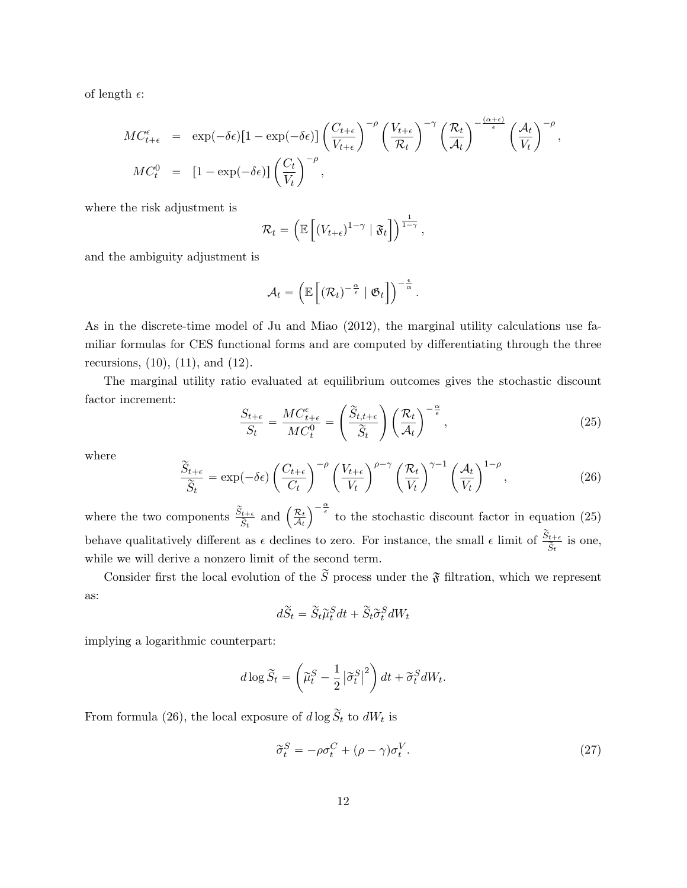of length  $\epsilon$ :

$$
MC_{t+\epsilon}^{\epsilon} = \exp(-\delta \epsilon)[1 - \exp(-\delta \epsilon)] \left(\frac{C_{t+\epsilon}}{V_{t+\epsilon}}\right)^{-\rho} \left(\frac{V_{t+\epsilon}}{\mathcal{R}_t}\right)^{-\gamma} \left(\frac{\mathcal{R}_t}{\mathcal{A}_t}\right)^{-\frac{(\alpha+\epsilon)}{\epsilon}} \left(\frac{\mathcal{A}_t}{V_t}\right)^{-\rho},
$$
  

$$
MC_t^0 = [1 - \exp(-\delta \epsilon)] \left(\frac{C_t}{V_t}\right)^{-\rho},
$$

where the risk adjustment is

$$
\mathcal{R}_t = \left( \mathbb{E}\left[ (V_{t+\epsilon})^{1-\gamma} \mid \mathfrak{F}_t \right] \right)^{\frac{1}{1-\gamma}},
$$

and the ambiguity adjustment is

$$
\mathcal{A}_t = \left(\mathbb{E}\left[ (\mathcal{R}_t)^{-\frac{\alpha}{\epsilon}} \mid \mathfrak{G}_t \right]\right)^{-\frac{\epsilon}{\alpha}}.
$$

As in the discrete-time model of Ju and Miao (2012), the marginal utility calculations use familiar formulas for CES functional forms and are computed by differentiating through the three recursions,  $(10)$ ,  $(11)$ , and  $(12)$ .

The marginal utility ratio evaluated at equilibrium outcomes gives the stochastic discount factor increment:  $\mathbb{Z}^2$  $\sqrt{2}$ 

$$
\frac{S_{t+\epsilon}}{S_t} = \frac{MC_{t+\epsilon}^{\epsilon}}{MC_t^0} = \left(\frac{\widetilde{S}_{t,t+\epsilon}}{\widetilde{S}_t}\right) \left(\frac{\mathcal{R}_t}{\mathcal{A}_t}\right)^{-\frac{\alpha}{\epsilon}},\tag{25}
$$

where

$$
\frac{\widetilde{S}_{t+\epsilon}}{\widetilde{S}_t} = \exp(-\delta \epsilon) \left(\frac{C_{t+\epsilon}}{C_t}\right)^{-\rho} \left(\frac{V_{t+\epsilon}}{V_t}\right)^{\rho-\gamma} \left(\frac{\mathcal{R}_t}{V_t}\right)^{\gamma-1} \left(\frac{\mathcal{A}_t}{V_t}\right)^{1-\rho},\tag{26}
$$

where the two components  $\frac{\widetilde{S}_{t+\epsilon}}{\widetilde{S}_t}$  and  $\left(\frac{\mathcal{R}_t}{\mathcal{A}_t}\right)$  $\mathcal{A}_t$  $\int_{0}^{\frac{\alpha}{\epsilon}}$  to the stochastic discount factor in equation (25) behave qualitatively different as  $\epsilon$  declines to zero. For instance, the small  $\epsilon$  limit of  $\frac{\tilde{S}_{t+\epsilon}}{\tilde{S}_t}$  is one, while we will derive a nonzero limit of the second term.

Consider first the local evolution of the  $\widetilde{S}$  process under the  $\widetilde{S}$  filtration, which we represent as:

$$
d\widetilde{S}_t = \widetilde{S}_t \widetilde{\mu}_t^S dt + \widetilde{S}_t \widetilde{\sigma}_t^S dW_t
$$

implying a logarithmic counterpart:

$$
d\log\widetilde{S}_t = \left(\widetilde{\mu}_t^S - \frac{1}{2}|\widetilde{\sigma}_t^S|^2\right)dt + \widetilde{\sigma}_t^S dW_t.
$$

From formula (26), the local exposure of  $d \log \tilde{S}_t$  to  $dW_t$  is

$$
\widetilde{\sigma}_t^S = -\rho \sigma_t^C + (\rho - \gamma)\sigma_t^V. \tag{27}
$$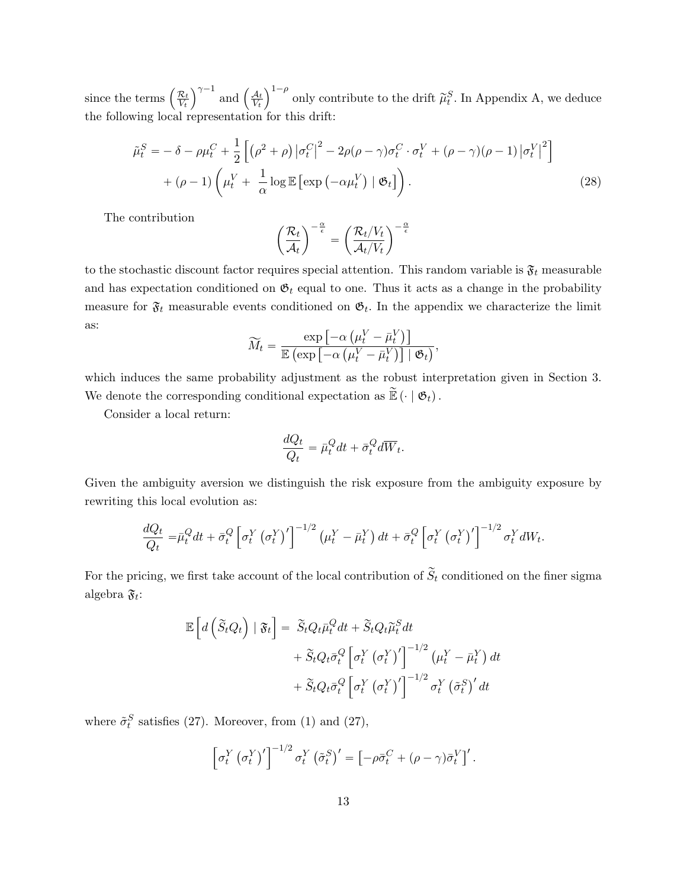since the terms  $\left(\frac{\mathcal{R}_t}{V_c}\right)$ Vt  $\int^{\gamma-1}$  and  $\left(\frac{\mathcal{A}_t}{V_1}\right)$ Vt  $\sqrt{1-\rho}$ only contribute to the drift  $\tilde{\mu}_t^S$ . In Appendix A, we deduce the following local representation for this drift:

$$
\tilde{\mu}_t^S = -\delta - \rho \mu_t^C + \frac{1}{2} \left[ \left( \rho^2 + \rho \right) \left| \sigma_t^C \right|^2 - 2\rho (\rho - \gamma) \sigma_t^C \cdot \sigma_t^V + (\rho - \gamma) (\rho - 1) \left| \sigma_t^V \right|^2 \right] \n+ (\rho - 1) \left( \mu_t^V + \frac{1}{\alpha} \log \mathbb{E} \left[ \exp \left( -\alpha \mu_t^V \right) \mid \mathfrak{G}_t \right] \right).
$$
\n(28)

The contribution

$$
\left(\frac{\mathcal{R}_t}{\mathcal{A}_t}\right)^{-\frac{\alpha}{\epsilon}} = \left(\frac{\mathcal{R}_t/V_t}{\mathcal{A}_t/V_t}\right)^{-\frac{\alpha}{\epsilon}}
$$

to the stochastic discount factor requires special attention. This random variable is  $\mathfrak{F}_t$  measurable and has expectation conditioned on  $\mathfrak{G}_t$  equal to one. Thus it acts as a change in the probability measure for  $\mathfrak{F}_t$  measurable events conditioned on  $\mathfrak{G}_t$ . In the appendix we characterize the limit as:  $\exp\big[$ ˘‰

$$
\widetilde{M}_t = \frac{\exp\left[-\alpha \left(\mu_t^V - \bar{\mu}_t^V\right)\right]}{\mathbb{E}\left(\exp\left[-\alpha \left(\mu_t^V - \bar{\mu}_t^V\right)\right] \mid \mathfrak{G}_t\right)},
$$

which induces the same probability adjustment as the robust interpretation given in Section 3. We denote the corresponding conditional expectation as  $\widetilde{\mathbb{E}}\left(\cdot \mid \mathfrak{G}_t\right)$ .

Consider a local return:

$$
\frac{dQ_t}{Q_t} = \bar{\mu}_t^Q dt + \bar{\sigma}_t^Q d\overline{W}_t.
$$

Given the ambiguity aversion we distinguish the risk exposure from the ambiguity exposure by rewriting this local evolution as:

$$
\frac{dQ_t}{Q_t} = \bar{\mu}_t^Q dt + \bar{\sigma}_t^Q \left[ \sigma_t^Y \left( \sigma_t^Y \right)' \right]^{-1/2} \left( \mu_t^Y - \bar{\mu}_t^Y \right) dt + \bar{\sigma}_t^Q \left[ \sigma_t^Y \left( \sigma_t^Y \right)' \right]^{-1/2} \sigma_t^Y dW_t.
$$

For the pricing, we first take account of the local contribution of  $\tilde{S}_t$  conditioned on the finer sigma algebra  $\mathfrak{F}_t$ :

$$
\mathbb{E}\left[d\left(\widetilde{S}_{t}Q_{t}\right) | \mathfrak{F}_{t}\right] = \widetilde{S}_{t}Q_{t}\bar{\mu}_{t}^{Q}dt + \widetilde{S}_{t}Q_{t}\widetilde{\mu}_{t}^{S}dt \n+ \widetilde{S}_{t}Q_{t}\bar{\sigma}_{t}^{Q}\left[\sigma_{t}^{Y}\left(\sigma_{t}^{Y}\right)'\right]^{-1/2}\left(\mu_{t}^{Y} - \bar{\mu}_{t}^{Y}\right)dt \n+ \widetilde{S}_{t}Q_{t}\bar{\sigma}_{t}^{Q}\left[\sigma_{t}^{Y}\left(\sigma_{t}^{Y}\right)'\right]^{-1/2}\sigma_{t}^{Y}\left(\tilde{\sigma}_{t}^{S}\right)'dt
$$

where  $\tilde{\sigma}_t^S$  satisfies (27). Moreover, from (1) and (27),

$$
\left[\sigma_t^Y \left(\sigma_t^Y\right)'\right]^{-1/2} \sigma_t^Y \left(\tilde{\sigma}_t^S\right)' = \left[-\rho \bar{\sigma}_t^C + (\rho - \gamma) \bar{\sigma}_t^V\right]'.
$$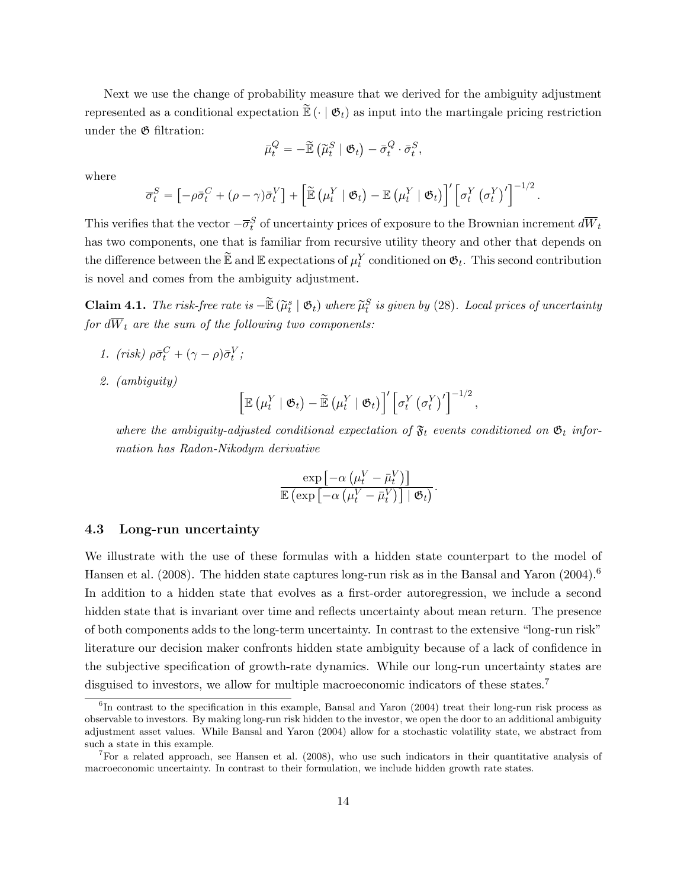Next we use the change of probability measure that we derived for the ambiguity adjustment represented as a conditional expectation  $\mathbb{E}(\cdot | \mathfrak{G}_t)$  as input into the martingale pricing restriction under the G filtration:

$$
\bar{\mu}_t^Q = -\widetilde{\mathbb{E}} \left( \widetilde{\mu}_t^S \mid \mathfrak{G}_t \right) - \bar{\sigma}_t^Q \cdot \bar{\sigma}_t^S,
$$

where

$$
\overline{\sigma}_t^S = \left[ -\rho \overline{\sigma}_t^C + (\rho - \gamma) \overline{\sigma}_t^V \right] + \left[ \widetilde{\mathbb{E}} \left( \mu_t^Y \mid \mathfrak{G}_t \right) - \mathbb{E} \left( \mu_t^Y \mid \mathfrak{G}_t \right) \right]' \left[ \sigma_t^Y \left( \sigma_t^Y \right)' \right]^{-1/2}.
$$

This verifies that the vector  $-\overline{\sigma}_t^S$  of uncertainty prices of exposure to the Brownian increment  $d\overline{W}_t$ has two components, one that is familiar from recursive utility theory and other that depends on the difference between the  $\widetilde{\mathbb{E}}$  and  $\mathbb{E}$  expectations of  $\mu_t^Y$  conditioned on  $\mathfrak{G}_t$ . This second contribution is novel and comes from the ambiguity adjustment.

**Claim 4.1.** The risk-free rate is  $-\widetilde{\mathbb{E}}\left(\widetilde{\mu}_t^s \mid \mathfrak{G}_t\right)$  where  $\widetilde{\mu}_t^S$  is given by (28). Local prices of uncertainty for  $d\overline{W}_t$  are the sum of the following two components:

- 1. (risk)  $\rho \bar{\sigma}_t^C + (\gamma \rho) \bar{\sigma}_t^V$ ;
- 2. (ambiguity)

$$
\left[\mathbb{E}\left(\mu_t^Y \mid \mathfrak{G}_t\right) - \widetilde{\mathbb{E}}\left(\mu_t^Y \mid \mathfrak{G}_t\right)\right]'\left[\sigma_t^Y \left(\sigma_t^Y\right)'\right]^{-1/2}
$$

,

where the ambiguity-adjusted conditional expectation of  $\mathfrak{F}_t$  events conditioned on  $\mathfrak{G}_t$  information has Radon-Nikodym derivative

$$
\frac{\exp\left[-\alpha\left(\mu_t^V-\bar{\mu}_t^V\right)\right]}{\mathbb{E}\left(\exp\left[-\alpha\left(\mu_t^V-\bar{\mu}_t^V\right)\right] \mid \mathfrak{G}_t\right)}.
$$

#### 4.3 Long-run uncertainty

We illustrate with the use of these formulas with a hidden state counterpart to the model of Hansen et al. (2008). The hidden state captures long-run risk as in the Bansal and Yaron (2004).<sup>6</sup> In addition to a hidden state that evolves as a first-order autoregression, we include a second hidden state that is invariant over time and reflects uncertainty about mean return. The presence of both components adds to the long-term uncertainty. In contrast to the extensive "long-run risk" literature our decision maker confronts hidden state ambiguity because of a lack of confidence in the subjective specification of growth-rate dynamics. While our long-run uncertainty states are disguised to investors, we allow for multiple macroeconomic indicators of these states.<sup>7</sup>

<sup>&</sup>lt;sup>6</sup>In contrast to the specification in this example, Bansal and Yaron (2004) treat their long-run risk process as observable to investors. By making long-run risk hidden to the investor, we open the door to an additional ambiguity adjustment asset values. While Bansal and Yaron (2004) allow for a stochastic volatility state, we abstract from such a state in this example.

<sup>7</sup>For a related approach, see Hansen et al. (2008), who use such indicators in their quantitative analysis of macroeconomic uncertainty. In contrast to their formulation, we include hidden growth rate states.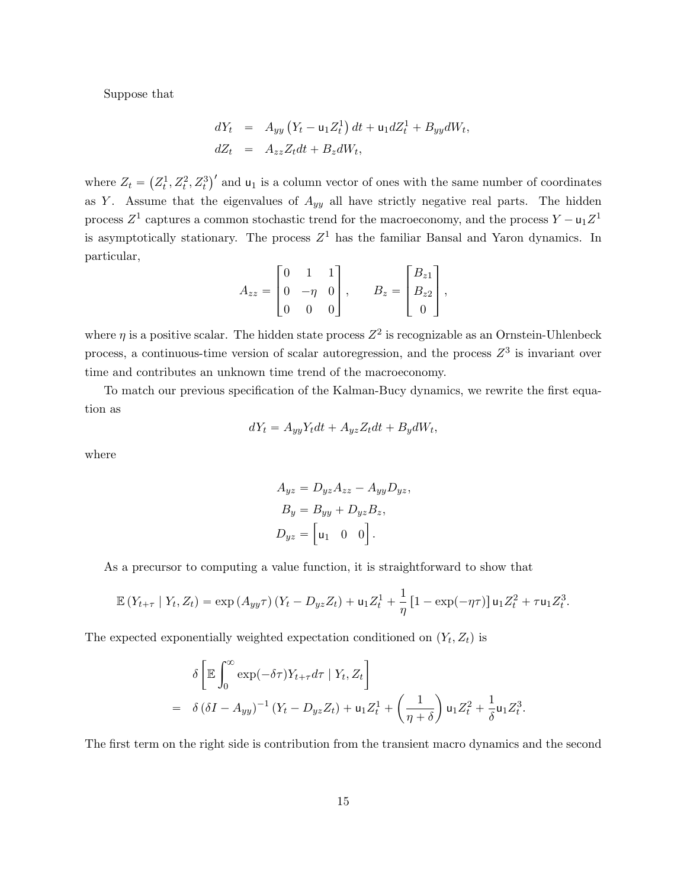Suppose that

$$
dY_t = A_{yy} (Y_t - \mathbf{u}_1 Z_t^1) dt + \mathbf{u}_1 dZ_t^1 + B_{yy} dW_t,
$$
  
\n
$$
dZ_t = A_{zz} Z_t dt + B_z dW_t,
$$

where  $Z_t =$  $Z_t^1, Z_t^2, Z_t^3$ )' and  $u_1$  is a column vector of ones with the same number of coordinates as Y. Assume that the eigenvalues of  $A_{yy}$  all have strictly negative real parts. The hidden process  $Z^1$  captures a common stochastic trend for the macroeconomy, and the process  $Y - u_1 Z^1$ is asymptotically stationary. The process  $Z<sup>1</sup>$  has the familiar Bansal and Yaron dynamics. In particular, » film and the state of the state of the state of the state of the state of the state of the state of the state » film and the state of the state of the state of the state of the state of the state of the state of the state

$$
A_{zz} = \begin{bmatrix} 0 & 1 & 1 \\ 0 & -\eta & 0 \\ 0 & 0 & 0 \end{bmatrix}, \qquad B_z = \begin{bmatrix} B_{z1} \\ B_{z2} \\ 0 \end{bmatrix},
$$

where  $\eta$  is a positive scalar. The hidden state process  $Z^2$  is recognizable as an Ornstein-Uhlenbeck process, a continuous-time version of scalar autoregression, and the process  $Z<sup>3</sup>$  is invariant over time and contributes an unknown time trend of the macroeconomy.

To match our previous specification of the Kalman-Bucy dynamics, we rewrite the first equation as

$$
dY_t = A_{yy}Y_t dt + A_{yz}Z_t dt + B_y dW_t,
$$

where

$$
A_{yz} = D_{yz}A_{zz} - A_{yy}D_{yz},
$$
  
\n
$$
B_y = B_{yy} + D_{yz}B_z,
$$
  
\n
$$
D_{yz} = \begin{bmatrix} 0 & 0 \end{bmatrix}.
$$

As a precursor to computing a value function, it is straightforward to show that

$$
\mathbb{E}\left(Y_{t+\tau} \mid Y_t, Z_t\right) = \exp\left(A_{yy}\tau\right)\left(Y_t - D_{yz}Z_t\right) + \mathsf{u}_1 Z_t^1 + \frac{1}{\eta}\left[1 - \exp(-\eta\tau)\right]\mathsf{u}_1 Z_t^2 + \tau \mathsf{u}_1 Z_t^3.
$$

The expected exponentially weighted expectation conditioned on  $(Y_t, Z_t)$  is

$$
\delta \left[ \mathbb{E} \int_0^\infty \exp(-\delta \tau) Y_{t+\tau} d\tau \mid Y_t, Z_t \right]
$$
  
=  $\delta (\delta I - A_{yy})^{-1} (Y_t - D_{yz} Z_t) + \mathbf{u}_1 Z_t^1 + \left(\frac{1}{\eta + \delta}\right) \mathbf{u}_1 Z_t^2 + \frac{1}{\delta} \mathbf{u}_1 Z_t^3$ .

The first term on the right side is contribution from the transient macro dynamics and the second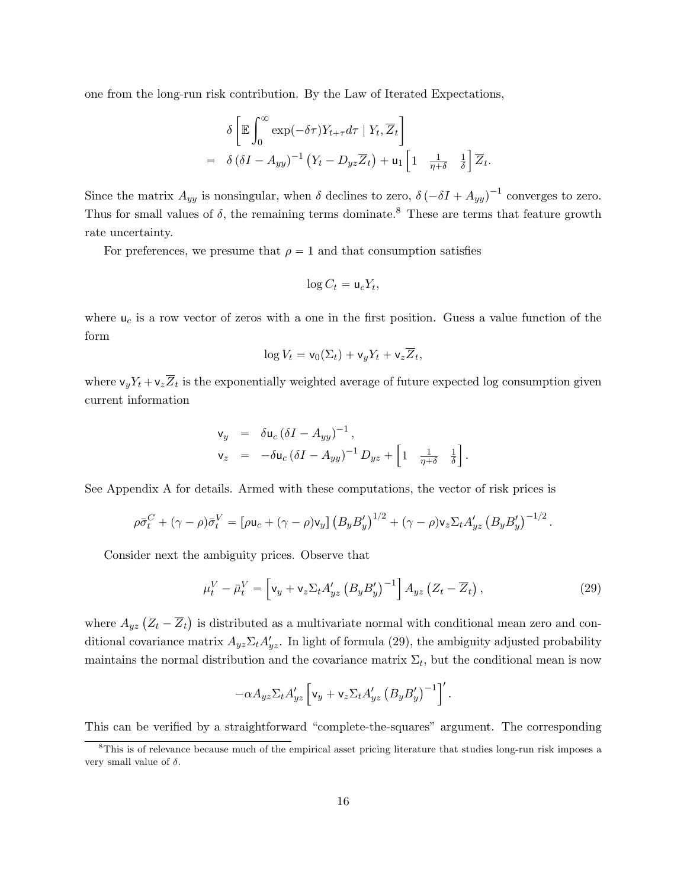one from the long-run risk contribution. By the Law of Iterated Expectations,

$$
\delta \left[ \mathbb{E} \int_0^\infty \exp(-\delta \tau) Y_{t+\tau} d\tau \mid Y_t, \overline{Z}_t \right]
$$
  
=  $\delta \left( \delta I - A_{yy} \right)^{-1} \left( Y_t - D_{yz} \overline{Z}_t \right) + \mathsf{u}_1 \left[ 1 \quad \frac{1}{\eta + \delta} \quad \frac{1}{\delta} \right] \overline{Z}_t.$ 

Since the matrix  $A_{yy}$  is nonsingular, when  $\delta$  declines to zero,  $\delta(-\delta I + A_{yy})^{-1}$  converges to zero. Thus for small values of  $\delta$ , the remaining terms dominate.<sup>8</sup> These are terms that feature growth rate uncertainty.

For preferences, we presume that  $\rho = 1$  and that consumption satisfies

$$
\log C_t = \mathsf{u}_c Y_t,
$$

where  $u_c$  is a row vector of zeros with a one in the first position. Guess a value function of the form

$$
\log V_t = \mathsf{v}_0(\Sigma_t) + \mathsf{v}_y Y_t + \mathsf{v}_z \overline{Z}_t,
$$

where  $\mathsf{v}_y Y_t + \mathsf{v}_z Z_t$  is the exponentially weighted average of future expected log consumption given current information

$$
\begin{array}{rcl}\n\mathsf{v}_y & = & \delta \mathsf{u}_c \left( \delta I - A_{yy} \right)^{-1}, \\
\mathsf{v}_z & = & -\delta \mathsf{u}_c \left( \delta I - A_{yy} \right)^{-1} D_{yz} + \left[ 1 \quad \frac{1}{\eta + \delta} \quad \frac{1}{\delta} \right].\n\end{array}
$$

See Appendix A for details. Armed with these computations, the vector of risk prices is

$$
\rho \bar{\sigma}_t^C + (\gamma - \rho) \bar{\sigma}_t^V = \left[ \rho \mathbf{u}_c + (\gamma - \rho) \mathbf{v}_y \right] \left( B_y B_y' \right)^{1/2} + (\gamma - \rho) \mathbf{v}_z \Sigma_t A_{yz}' \left( B_y B_y' \right)^{-1/2}.
$$

Consider next the ambiguity prices. Observe that

$$
\mu_t^V - \bar{\mu}_t^V = \left[ \mathsf{v}_y + \mathsf{v}_z \Sigma_t A'_{yz} \left( B_y B'_y \right)^{-1} \right] A_{yz} \left( Z_t - \overline{Z}_t \right),\tag{29}
$$

where  $A_{yz} (Z_t - \overline{Z}_t)$ is distributed as a multivariate normal with conditional mean zero and conditional covariance matrix  $A_{yz}\Sigma_t A_{yz}'$ . In light of formula (29), the ambiguity adjusted probability maintains the normal distribution and the covariance matrix  $\Sigma_t$ , but the conditional mean is now

$$
-\alpha A_{yz}\Sigma_t A_{yz}'\left[\mathbf{v}_y+\mathbf{v}_z\Sigma_t A_{yz}'\left(B_yB_y'\right)^{-1}\right]'\.
$$

This can be verified by a straightforward "complete-the-squares" argument. The corresponding

<sup>&</sup>lt;sup>8</sup>This is of relevance because much of the empirical asset pricing literature that studies long-run risk imposes a very small value of  $\delta$ .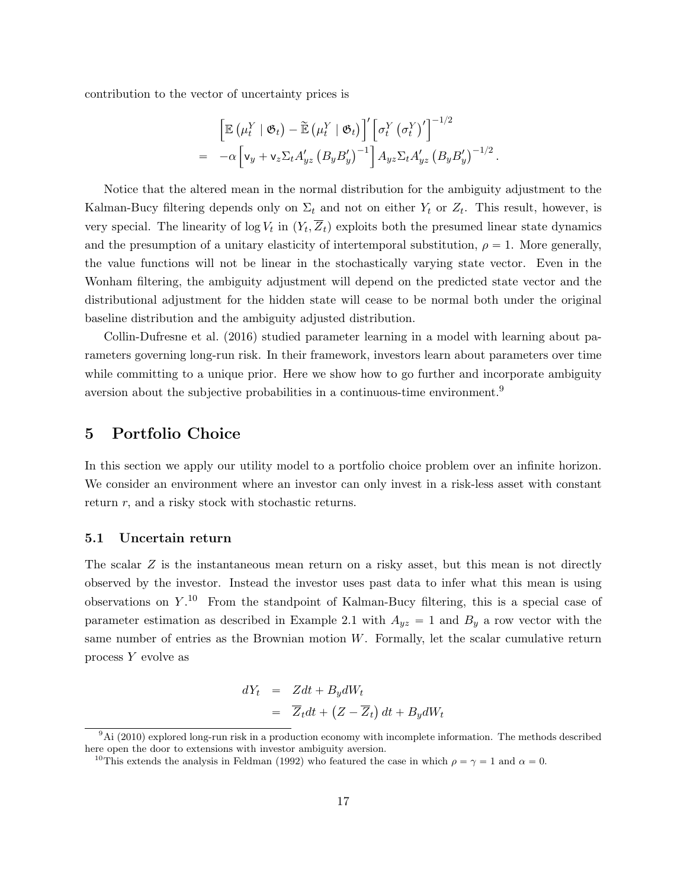contribution to the vector of uncertainty prices is

$$
\begin{split}\n&= \left[ \mathbb{E} \left( \mu_t^Y \mid \mathfrak{G}_t \right) - \widetilde{\mathbb{E}} \left( \mu_t^Y \mid \mathfrak{G}_t \right) \right]' \left[ \sigma_t^Y \left( \sigma_t^Y \right)' \right]^{-1/2} \\
&= -\alpha \left[ \mathsf{v}_y + \mathsf{v}_z \Sigma_t A'_{yz} \left( B_y B'_y \right)^{-1} \right] A_{yz} \Sigma_t A'_{yz} \left( B_y B'_y \right)^{-1/2}.\n\end{split}
$$

Notice that the altered mean in the normal distribution for the ambiguity adjustment to the Kalman-Bucy filtering depends only on  $\Sigma_t$  and not on either  $Y_t$  or  $Z_t$ . This result, however, is very special. The linearity of  $\log V_t$  in  $(Y_t, Z_t)$  exploits both the presumed linear state dynamics and the presumption of a unitary elasticity of intertemporal substitution,  $\rho = 1$ . More generally, the value functions will not be linear in the stochastically varying state vector. Even in the Wonham filtering, the ambiguity adjustment will depend on the predicted state vector and the distributional adjustment for the hidden state will cease to be normal both under the original baseline distribution and the ambiguity adjusted distribution.

Collin-Dufresne et al. (2016) studied parameter learning in a model with learning about parameters governing long-run risk. In their framework, investors learn about parameters over time while committing to a unique prior. Here we show how to go further and incorporate ambiguity aversion about the subjective probabilities in a continuous-time environment.<sup>9</sup>

### 5 Portfolio Choice

In this section we apply our utility model to a portfolio choice problem over an infinite horizon. We consider an environment where an investor can only invest in a risk-less asset with constant return r, and a risky stock with stochastic returns.

#### 5.1 Uncertain return

The scalar Z is the instantaneous mean return on a risky asset, but this mean is not directly observed by the investor. Instead the investor uses past data to infer what this mean is using observations on  $Y^{10}$  From the standpoint of Kalman-Bucy filtering, this is a special case of parameter estimation as described in Example 2.1 with  $A_{yz} = 1$  and  $B_y$  a row vector with the same number of entries as the Brownian motion  $W$ . Formally, let the scalar cumulative return process Y evolve as

$$
dY_t = Zdt + B_y dW_t
$$
  
=  $\overline{Z}_t dt + (Z - \overline{Z}_t) dt + B_y dW_t$ 

 $9\text{Ai}$  (2010) explored long-run risk in a production economy with incomplete information. The methods described here open the door to extensions with investor ambiguity aversion.

<sup>&</sup>lt;sup>10</sup>This extends the analysis in Feldman (1992) who featured the case in which  $\rho = \gamma = 1$  and  $\alpha = 0$ .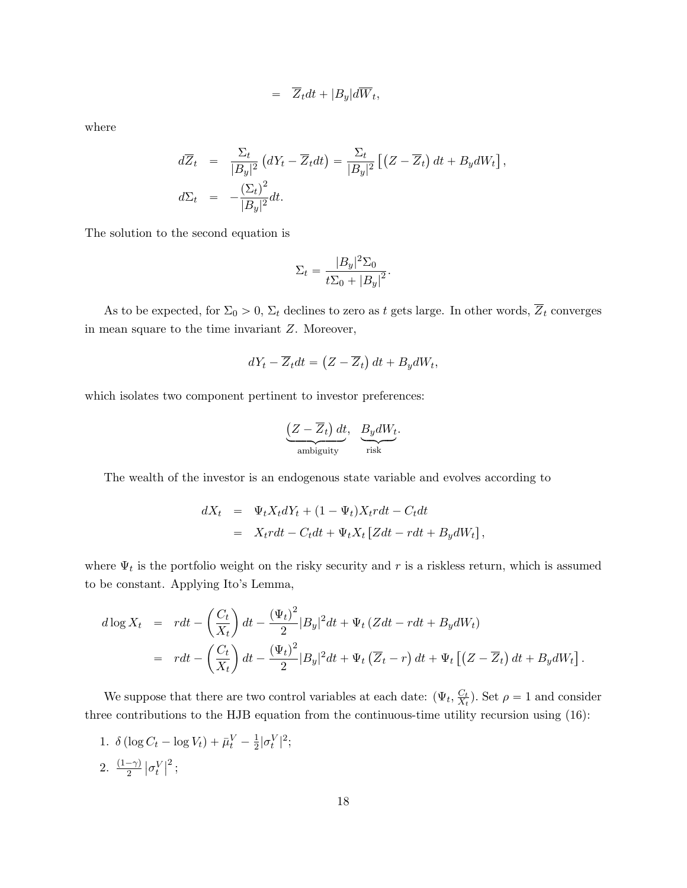$$
= \overline{Z}_t dt + |B_y| d\overline{W}_t,
$$

where

$$
d\overline{Z}_t = \frac{\Sigma_t}{|B_y|^2} (dY_t - \overline{Z}_t dt) = \frac{\Sigma_t}{|B_y|^2} [(Z - \overline{Z}_t) dt + B_y dW_t],
$$
  

$$
d\Sigma_t = -\frac{(\Sigma_t)^2}{|B_y|^2} dt.
$$

The solution to the second equation is

$$
\Sigma_t = \frac{|B_y|^2 \Sigma_0}{t\Sigma_0 + |B_y|^2}.
$$

As to be expected, for  $\Sigma_0 > 0$ ,  $\Sigma_t$  declines to zero as t gets large. In other words,  $\overline{Z}_t$  converges in mean square to the time invariant Z. Moreover,

$$
dY_t - \overline{Z}_t dt = \left(Z - \overline{Z}_t\right) dt + B_y dW_t,
$$

which isolates two component pertinent to investor preferences:

$$
\underbrace{\left(Z-\overline{Z}_t\right)dt}_{\text{ambiguity}}, \underbrace{B_y dW_t}_{\text{risk}}.
$$

The wealth of the investor is an endogenous state variable and evolves according to

$$
dX_t = \Psi_t X_t dY_t + (1 - \Psi_t) X_t r dt - C_t dt
$$
  
= 
$$
X_t r dt - C_t dt + \Psi_t X_t [Z dt - r dt + B_y dW_t],
$$

where  $\Psi_t$  is the portfolio weight on the risky security and r is a riskless return, which is assumed to be constant. Applying Ito's Lemma,

$$
d \log X_t = r dt - \left(\frac{C_t}{X_t}\right) dt - \frac{(\Psi_t)^2}{2} |B_y|^2 dt + \Psi_t (Z dt - r dt + B_y dW_t)
$$
  
= 
$$
r dt - \left(\frac{C_t}{X_t}\right) dt - \frac{(\Psi_t)^2}{2} |B_y|^2 dt + \Psi_t (\overline{Z}_t - r) dt + \Psi_t [(Z - \overline{Z}_t) dt + B_y dW_t].
$$

We suppose that there are two control variables at each date:  $(\Psi_t, \frac{C_t}{X_t})$  $\frac{C_t}{X_t}$ ). Set  $\rho = 1$  and consider three contributions to the HJB equation from the continuous-time utility recursion using (16):

1.  $\delta (\log C_t - \log V_t) + \bar{\mu}_t^V - \frac{1}{2}$  $\frac{1}{2}|\sigma_t^V|^2;$ 2.  $\frac{(1-\gamma)}{2}$  $\vert \sigma_t^V$  $\vert^2$ ;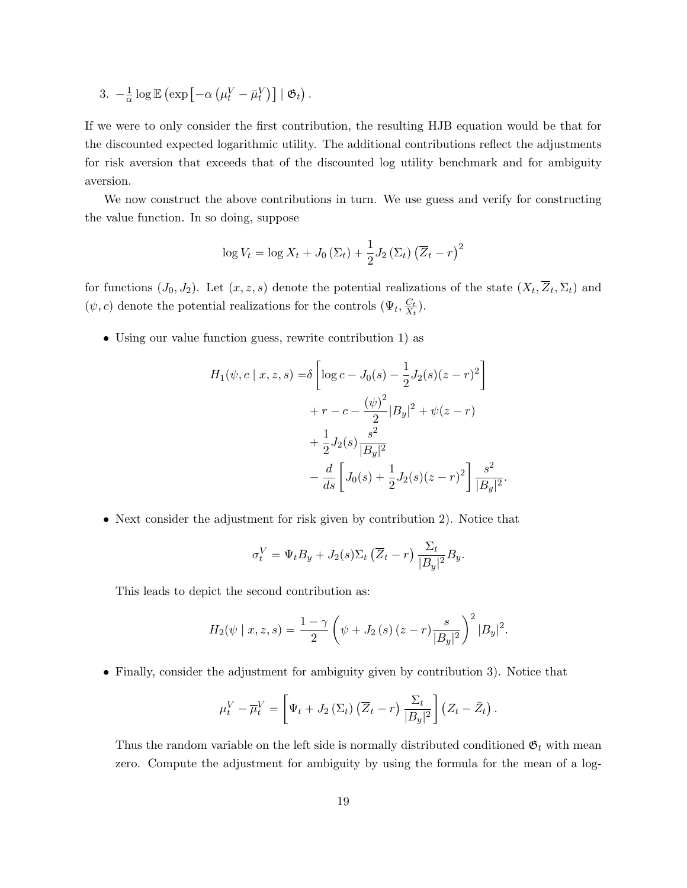3.  $-\frac{1}{\alpha}$  $\frac{1}{\alpha} \log \mathbb{E}$  $\left(\exp\left[-\alpha\right.\right)$  $\mu^V_t - \bar{\mu}^V_t$ ˘‰  $\mid \mathfrak{G}_t$ .

If we were to only consider the first contribution, the resulting HJB equation would be that for the discounted expected logarithmic utility. The additional contributions reflect the adjustments for risk aversion that exceeds that of the discounted log utility benchmark and for ambiguity aversion.

We now construct the above contributions in turn. We use guess and verify for constructing the value function. In so doing, suppose

$$
\log V_t = \log X_t + J_0 \left( \Sigma_t \right) + \frac{1}{2} J_2 \left( \Sigma_t \right) \left( \overline{Z}_t - r \right)^2
$$

for functions  $(J_0, J_2)$ . Let  $(x, z, s)$  denote the potential realizations of the state  $(X_t, Z_t, \Sigma_t)$  and  $(\psi, c)$  denote the potential realizations for the controls  $(\Psi_t, \frac{C_t}{X_t})$  $\frac{C_t}{X_t}$ .

• Using our value function guess, rewrite contribution 1) as

$$
H_1(\psi, c \mid x, z, s) = \delta \left[ \log c - J_0(s) - \frac{1}{2} J_2(s)(z - r)^2 \right]
$$
  
+  $r - c - \frac{(\psi)^2}{2} |B_y|^2 + \psi(z - r)$   
+  $\frac{1}{2} J_2(s) \frac{s^2}{|B_y|^2}$   
-  $\frac{d}{ds} \left[ J_0(s) + \frac{1}{2} J_2(s)(z - r)^2 \right] \frac{s^2}{|B_y|^2}$ 

.

• Next consider the adjustment for risk given by contribution 2). Notice that

$$
\sigma_t^V = \Psi_t B_y + J_2(s) \Sigma_t \left( \overline{Z}_t - r \right) \frac{\Sigma_t}{|B_y|^2} B_y.
$$

This leads to depict the second contribution as:

$$
H_2(\psi \mid x, z, s) = \frac{1 - \gamma}{2} \left( \psi + J_2(s) \left( z - r \right) \frac{s}{|B_y|^2} \right)^2 |B_y|^2.
$$

• Finally, consider the adjustment for ambiguity given by contribution 3). Notice that

$$
\mu_t^V - \overline{\mu}_t^V = \left[ \Psi_t + J_2 \left( \Sigma_t \right) \left( \overline{Z}_t - r \right) \frac{\Sigma_t}{|B_y|^2} \right] \left( Z_t - \overline{Z}_t \right).
$$

Thus the random variable on the left side is normally distributed conditioned  $\mathfrak{G}_t$  with mean zero. Compute the adjustment for ambiguity by using the formula for the mean of a log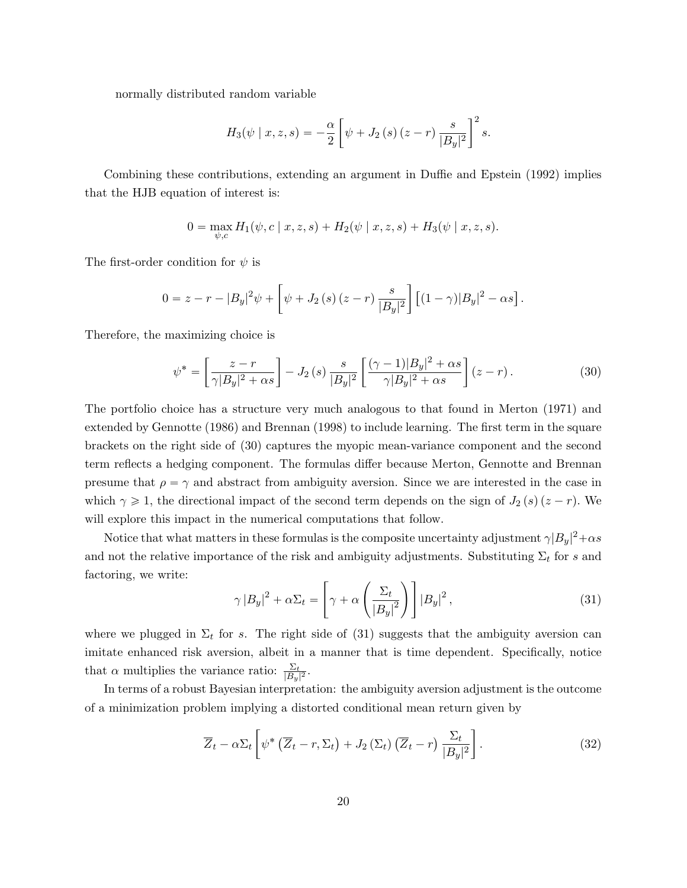normally distributed random variable

$$
H_3(\psi \mid x, z, s) = -\frac{\alpha}{2} \left[ \psi + J_2(s) (z - r) \frac{s}{|B_y|^2} \right]^2 s.
$$

Combining these contributions, extending an argument in Duffie and Epstein (1992) implies that the HJB equation of interest is:

$$
0 = \max_{\psi,c} H_1(\psi, c \mid x, z, s) + H_2(\psi \mid x, z, s) + H_3(\psi \mid x, z, s).
$$

The first-order condition for  $\psi$  is

$$
0 = z - r - |B_y|^2 \psi + \left[ \psi + J_2(s) (z - r) \frac{s}{|B_y|^2} \right] \left[ (1 - \gamma) |B_y|^2 - \alpha s \right].
$$

Therefore, the maximizing choice is

$$
\psi^* = \left[\frac{z-r}{\gamma|B_y|^2 + \alpha s}\right] - J_2\left(s\right) \frac{s}{|B_y|^2} \left[\frac{(\gamma-1)|B_y|^2 + \alpha s}{\gamma|B_y|^2 + \alpha s}\right] (z-r). \tag{30}
$$

The portfolio choice has a structure very much analogous to that found in Merton (1971) and extended by Gennotte (1986) and Brennan (1998) to include learning. The first term in the square brackets on the right side of (30) captures the myopic mean-variance component and the second term reflects a hedging component. The formulas differ because Merton, Gennotte and Brennan presume that  $\rho = \gamma$  and abstract from ambiguity aversion. Since we are interested in the case in which  $\gamma \geq 1$ , the directional impact of the second term depends on the sign of  $J_2(s)(z - r)$ . We will explore this impact in the numerical computations that follow.

Notice that what matters in these formulas is the composite uncertainty adjustment  $\gamma |B_y|^2 + \alpha s$ and not the relative importance of the risk and ambiguity adjustments. Substituting  $\Sigma_t$  for s and factoring, we write: «  $\mathbb{R}^2$  $\frac{1}{2}$ 

$$
\gamma |B_y|^2 + \alpha \Sigma_t = \left[ \gamma + \alpha \left( \frac{\Sigma_t}{|B_y|^2} \right) \right] |B_y|^2, \tag{31}
$$

where we plugged in  $\Sigma_t$  for s. The right side of (31) suggests that the ambiguity aversion can imitate enhanced risk aversion, albeit in a manner that is time dependent. Specifically, notice that  $\alpha$  multiplies the variance ratio:  $\frac{\Sigma_t}{|B_y|^2}$ .

In terms of a robust Bayesian interpretation: the ambiguity aversion adjustment is the outcome of a minimization problem implying a distorted conditional mean return given by

$$
\overline{Z}_t - \alpha \Sigma_t \left[ \psi^* \left( \overline{Z}_t - r, \Sigma_t \right) + J_2 \left( \Sigma_t \right) \left( \overline{Z}_t - r \right) \frac{\Sigma_t}{|B_y|^2} \right]. \tag{32}
$$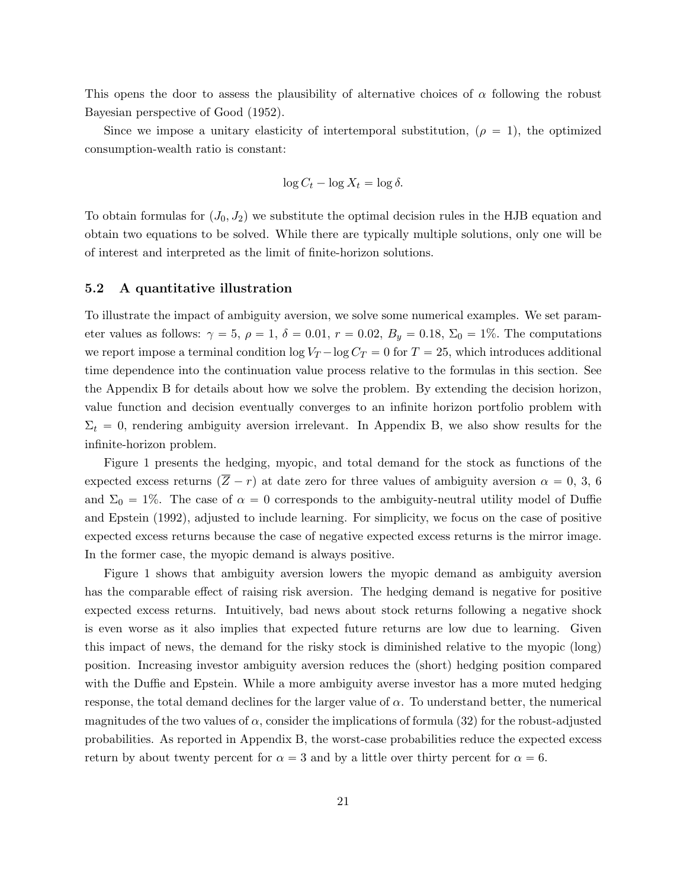This opens the door to assess the plausibility of alternative choices of  $\alpha$  following the robust Bayesian perspective of Good (1952).

Since we impose a unitary elasticity of intertemporal substitution,  $(\rho = 1)$ , the optimized consumption-wealth ratio is constant:

$$
\log C_t - \log X_t = \log \delta.
$$

To obtain formulas for  $(J_0, J_2)$  we substitute the optimal decision rules in the HJB equation and obtain two equations to be solved. While there are typically multiple solutions, only one will be of interest and interpreted as the limit of finite-horizon solutions.

#### 5.2 A quantitative illustration

To illustrate the impact of ambiguity aversion, we solve some numerical examples. We set parameter values as follows:  $\gamma = 5$ ,  $\rho = 1$ ,  $\delta = 0.01$ ,  $r = 0.02$ ,  $B_y = 0.18$ ,  $\Sigma_0 = 1\%$ . The computations we report impose a terminal condition  $\log V_T - \log C_T = 0$  for  $T = 25$ , which introduces additional time dependence into the continuation value process relative to the formulas in this section. See the Appendix B for details about how we solve the problem. By extending the decision horizon, value function and decision eventually converges to an infinite horizon portfolio problem with  $\Sigma_t = 0$ , rendering ambiguity aversion irrelevant. In Appendix B, we also show results for the infinite-horizon problem.

Figure 1 presents the hedging, myopic, and total demand for the stock as functions of the expected excess returns  $(\overline{Z} - r)$  at date zero for three values of ambiguity aversion  $\alpha = 0, 3, 6$ and  $\Sigma_0 = 1\%$ . The case of  $\alpha = 0$  corresponds to the ambiguity-neutral utility model of Duffie and Epstein (1992), adjusted to include learning. For simplicity, we focus on the case of positive expected excess returns because the case of negative expected excess returns is the mirror image. In the former case, the myopic demand is always positive.

Figure 1 shows that ambiguity aversion lowers the myopic demand as ambiguity aversion has the comparable effect of raising risk aversion. The hedging demand is negative for positive expected excess returns. Intuitively, bad news about stock returns following a negative shock is even worse as it also implies that expected future returns are low due to learning. Given this impact of news, the demand for the risky stock is diminished relative to the myopic (long) position. Increasing investor ambiguity aversion reduces the (short) hedging position compared with the Duffie and Epstein. While a more ambiguity averse investor has a more muted hedging response, the total demand declines for the larger value of  $\alpha$ . To understand better, the numerical magnitudes of the two values of  $\alpha$ , consider the implications of formula (32) for the robust-adjusted probabilities. As reported in Appendix B, the worst-case probabilities reduce the expected excess return by about twenty percent for  $\alpha = 3$  and by a little over thirty percent for  $\alpha = 6$ .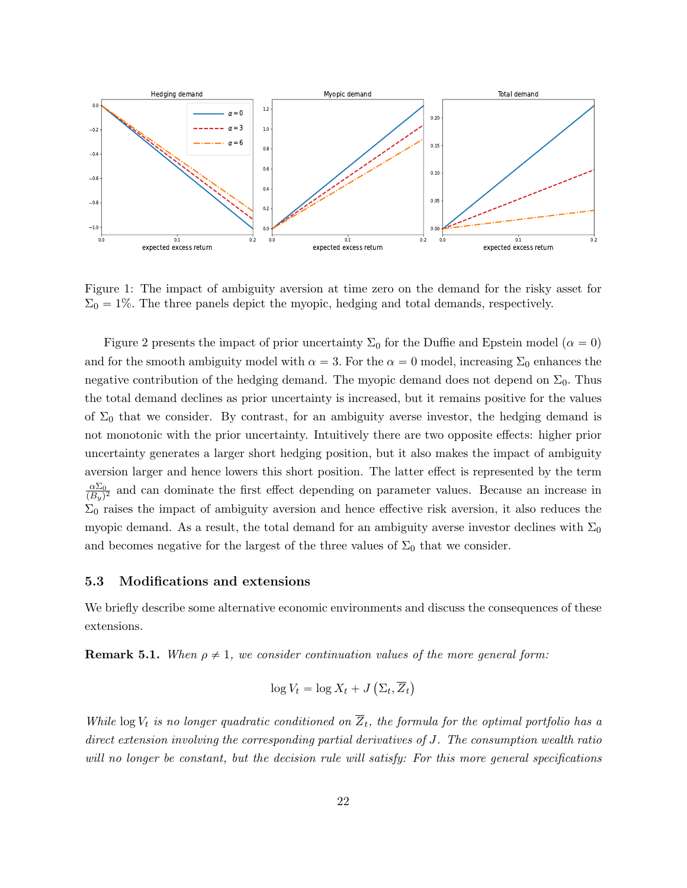

Figure 1: The impact of ambiguity aversion at time zero on the demand for the risky asset for  $\Sigma_0 = 1\%$ . The three panels depict the myopic, hedging and total demands, respectively.

Figure 2 presents the impact of prior uncertainty  $\Sigma_0$  for the Duffie and Epstein model ( $\alpha = 0$ ) and for the smooth ambiguity model with  $\alpha = 3$ . For the  $\alpha = 0$  model, increasing  $\Sigma_0$  enhances the negative contribution of the hedging demand. The myopic demand does not depend on  $\Sigma_0$ . Thus the total demand declines as prior uncertainty is increased, but it remains positive for the values of  $\Sigma_0$  that we consider. By contrast, for an ambiguity averse investor, the hedging demand is not monotonic with the prior uncertainty. Intuitively there are two opposite effects: higher prior uncertainty generates a larger short hedging position, but it also makes the impact of ambiguity aversion larger and hence lowers this short position. The latter effect is represented by the term  $\alpha\Sigma_0$  $\frac{\alpha \Sigma_0}{(B_y)^2}$  and can dominate the first effect depending on parameter values. Because an increase in  $\Sigma_0$  raises the impact of ambiguity aversion and hence effective risk aversion, it also reduces the myopic demand. As a result, the total demand for an ambiguity averse investor declines with  $\Sigma_0$ and becomes negative for the largest of the three values of  $\Sigma_0$  that we consider.

#### 5.3 Modifications and extensions

We briefly describe some alternative economic environments and discuss the consequences of these extensions.

**Remark 5.1.** When  $\rho \neq 1$ , we consider continuation values of the more general form:

$$
\log V_t = \log X_t + J\left(\Sigma_t, \overline{Z}_t\right)
$$

While log  $V_t$  is no longer quadratic conditioned on  $\overline{Z}_t$ , the formula for the optimal portfolio has a direct extension involving the corresponding partial derivatives of J. The consumption wealth ratio will no longer be constant, but the decision rule will satisfy: For this more general specifications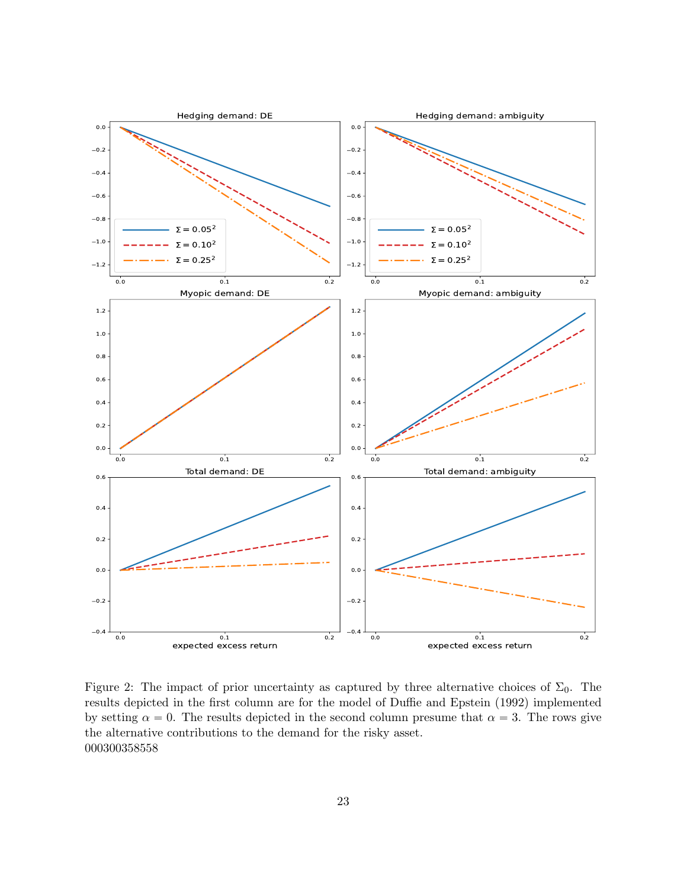

Figure 2: The impact of prior uncertainty as captured by three alternative choices of  $\Sigma_0$ . The results depicted in the first column are for the model of Duffie and Epstein (1992) implemented by setting  $\alpha = 0$ . The results depicted in the second column presume that  $\alpha = 3$ . The rows give the alternative contributions to the demand for the risky asset. 000300358558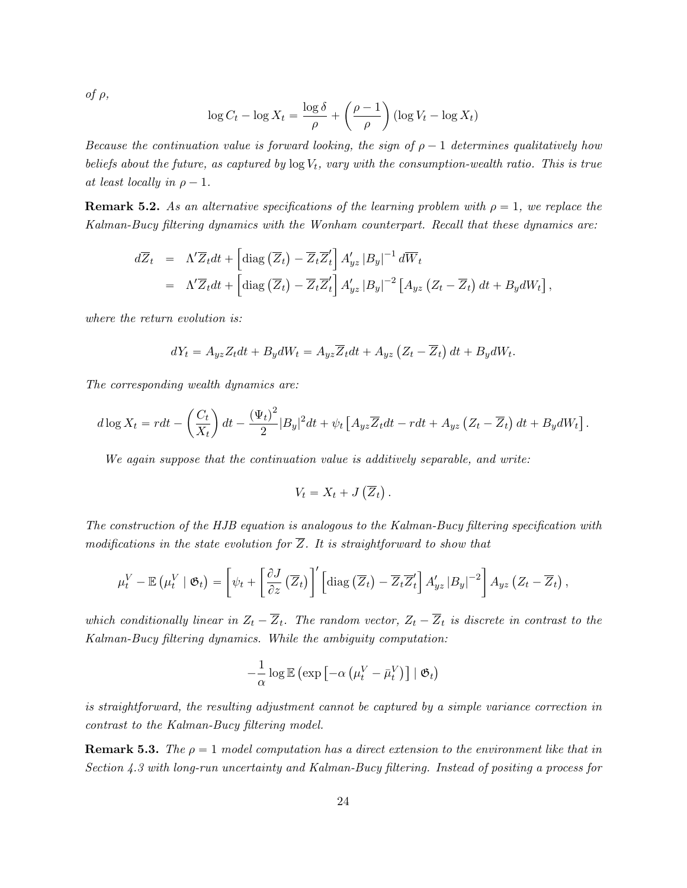of  $\rho$ ,

$$
\log C_t - \log X_t = \frac{\log \delta}{\rho} + \left(\frac{\rho - 1}{\rho}\right) (\log V_t - \log X_t)
$$

Because the continuation value is forward looking, the sign of  $\rho - 1$  determines qualitatively how beliefs about the future, as captured by  $\log V_t$ , vary with the consumption-wealth ratio. This is true at least locally in  $\rho - 1$ .

**Remark 5.2.** As an alternative specifications of the learning problem with  $\rho = 1$ , we replace the Kalman-Bucy filtering dynamics with the Wonham counterpart. Recall that these dynamics are:

$$
d\overline{Z}_t = \Lambda' \overline{Z}_t dt + \left[ \text{diag}\left( \overline{Z}_t \right) - \overline{Z}_t \overline{Z}'_t \right] A'_{yz} |B_y|^{-1} d\overline{W}_t
$$
  
=  $\Lambda' \overline{Z}_t dt + \left[ \text{diag}\left( \overline{Z}_t \right) - \overline{Z}_t \overline{Z}'_t \right] A'_{yz} |B_y|^{-2} \left[ A_{yz} \left( Z_t - \overline{Z}_t \right) dt + B_y dW_t \right],$ 

where the return evolution is:

$$
dY_t = A_{yz}Z_t dt + B_y dW_t = A_{yz}\overline{Z}_t dt + A_{yz} (Z_t - \overline{Z}_t) dt + B_y dW_t.
$$

The corresponding wealth dynamics are:

$$
d\log X_t = rdt - \left(\frac{C_t}{X_t}\right)dt - \frac{\left(\Psi_t\right)^2}{2}|B_y|^2dt + \psi_t\left[A_{yz}\overline{Z}_tdt - rdt + A_{yz}\left(Z_t - \overline{Z}_t\right)dt + B_y dW_t\right].
$$

We again suppose that the continuation value is additively separable, and write:

$$
V_t = X_t + J(\overline{Z}_t).
$$

The construction of the HJB equation is analogous to the Kalman-Bucy filtering specification with modifications in the state evolution for  $\overline{Z}$ . It is straightforward to show that

$$
\mu_t^V - \mathbb{E} \left( \mu_t^V \mid \mathfrak{G}_t \right) = \left[ \psi_t + \left[ \frac{\partial J}{\partial z} \left( \overline{Z}_t \right) \right]' \left[ \text{diag} \left( \overline{Z}_t \right) - \overline{Z}_t \overline{Z}'_t \right] A'_{yz} |B_y|^{-2} \right] A_{yz} \left( Z_t - \overline{Z}_t \right),
$$

which conditionally linear in  $Z_t - \overline{Z}_t$ . The random vector,  $Z_t - \overline{Z}_t$  is discrete in contrast to the Kalman-Bucy filtering dynamics. While the ambiguity computation:

$$
-\frac{1}{\alpha}\log\mathbb{E}\left(\exp\left[-\alpha\left(\mu_t^V-\bar{\mu}_t^V\right)\right]\mid \mathfrak{G}_t\right)
$$

is straightforward, the resulting adjustment cannot be captured by a simple variance correction in contrast to the Kalman-Bucy filtering model.

**Remark 5.3.** The  $\rho = 1$  model computation has a direct extension to the environment like that in Section 4.3 with long-run uncertainty and Kalman-Bucy filtering. Instead of positing a process for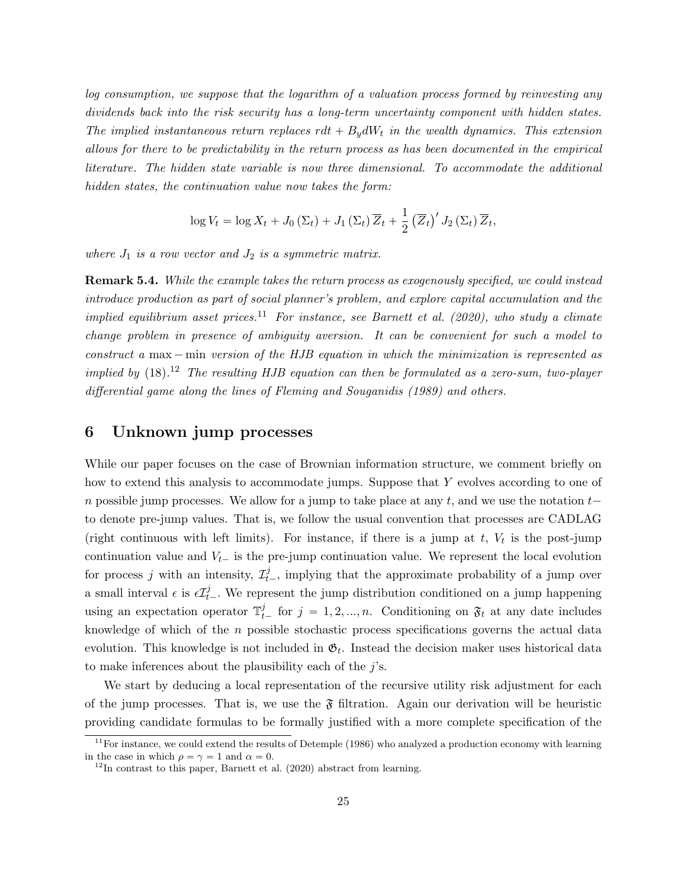log consumption, we suppose that the logarithm of a valuation process formed by reinvesting any dividends back into the risk security has a long-term uncertainty component with hidden states. The implied instantaneous return replaces  $rdt + B_y dW_t$  in the wealth dynamics. This extension allows for there to be predictability in the return process as has been documented in the empirical literature. The hidden state variable is now three dimensional. To accommodate the additional hidden states, the continuation value now takes the form:

$$
\log V_t = \log X_t + J_0 \left( \Sigma_t \right) + J_1 \left( \Sigma_t \right) \overline{Z}_t + \frac{1}{2} \left( \overline{Z}_t \right)' J_2 \left( \Sigma_t \right) \overline{Z}_t,
$$

where  $J_1$  is a row vector and  $J_2$  is a symmetric matrix.

Remark 5.4. While the example takes the return process as exogenously specified, we could instead introduce production as part of social planner's problem, and explore capital accumulation and the implied equilibrium asset prices.<sup>11</sup> For instance, see Barnett et al. (2020), who study a climate change problem in presence of ambiguity aversion. It can be convenient for such a model to construct a max  $-$  min version of the HJB equation in which the minimization is represented as implied by  $(18)$ .<sup>12</sup> The resulting HJB equation can then be formulated as a zero-sum, two-player differential game along the lines of Fleming and Souganidis (1989) and others.

# 6 Unknown jump processes

While our paper focuses on the case of Brownian information structure, we comment briefly on how to extend this analysis to accommodate jumps. Suppose that Y evolves according to one of n possible jump processes. We allow for a jump to take place at any t, and we use the notation  $t$ to denote pre-jump values. That is, we follow the usual convention that processes are CADLAG (right continuous with left limits). For instance, if there is a jump at  $t$ ,  $V_t$  is the post-jump continuation value and  $V_{t-}$  is the pre-jump continuation value. We represent the local evolution for process j with an intensity,  $\mathcal{I}_{t-}^j$ , implying that the approximate probability of a jump over a small interval  $\epsilon$  is  $\epsilon I_t^j$ . We represent the jump distribution conditioned on a jump happening using an expectation operator  $\mathbb{T}_{t-}^j$  for  $j = 1, 2, ..., n$ . Conditioning on  $\mathfrak{F}_t$  at any date includes knowledge of which of the  $n$  possible stochastic process specifications governs the actual data evolution. This knowledge is not included in  $\mathfrak{G}_t$ . Instead the decision maker uses historical data to make inferences about the plausibility each of the  $j$ 's.

We start by deducing a local representation of the recursive utility risk adjustment for each of the jump processes. That is, we use the  $\mathfrak F$  filtration. Again our derivation will be heuristic providing candidate formulas to be formally justified with a more complete specification of the

 $11$ For instance, we could extend the results of Detemple (1986) who analyzed a production economy with learning in the case in which  $\rho = \gamma = 1$  and  $\alpha = 0$ .

 $12$ In contrast to this paper, Barnett et al. (2020) abstract from learning.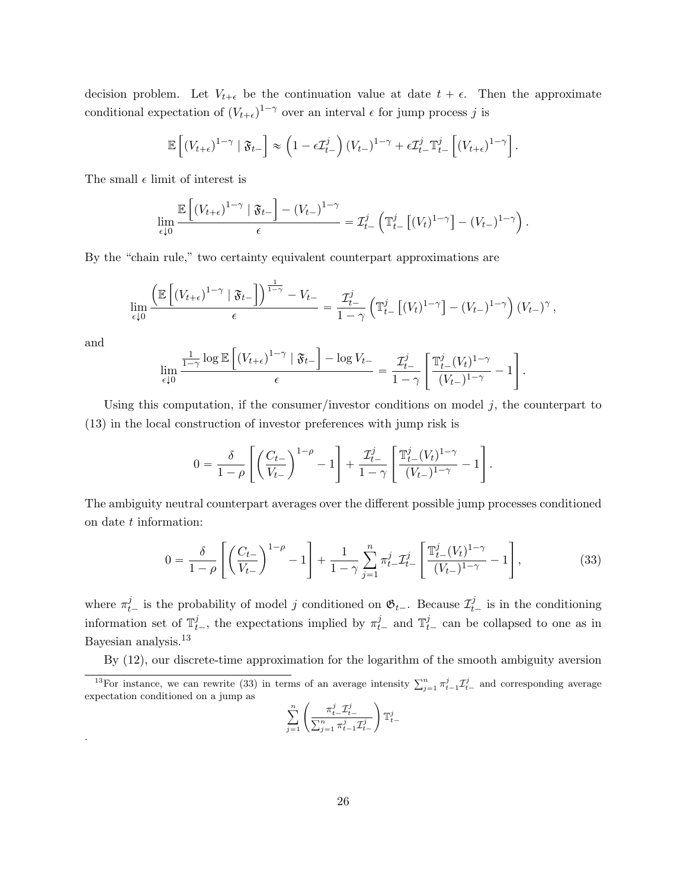decision problem. Let  $V_{t+\epsilon}$  be the continuation value at date  $t + \epsilon$ . Then the approximate conditional expectation of  $(V_{t+\epsilon})^{1-\gamma}$  over an interval  $\epsilon$  for jump process j is

$$
\mathbb{E}\left[\left(V_{t+\epsilon}\right)^{1-\gamma} \mid \mathfrak{F}_{t-}\right] \approx \left(1 - \epsilon \mathcal{I}_{t-}^{j}\right) \left(V_{t-}\right)^{1-\gamma} + \epsilon \mathcal{I}_{t-}^{j} \mathbb{T}_{t-}^{j} \left[\left(V_{t+\epsilon}\right)^{1-\gamma}\right].
$$

The small  $\epsilon$  limit of interest is

"

$$
\lim_{\epsilon \downarrow 0} \frac{\mathbb{E}\left[ (V_{t+\epsilon})^{1-\gamma} \mid \mathfrak{F}_{t-} \right] - (V_{t-})^{1-\gamma}}{\epsilon} = \mathcal{I}_{t-}^{j} \left( \mathbb{T}_{t-}^{j} \left[ (V_{t})^{1-\gamma} \right] - (V_{t-})^{1-\gamma} \right).
$$

By the "chain rule," two certainty equivalent counterpart approximations are

ı

"

$$
\lim_{\epsilon \downarrow 0} \frac{\left(\mathbb{E}\left[\left(V_{t+\epsilon}\right)^{1-\gamma} \mid \mathfrak{F}_{t-}\right]\right)^{\frac{1}{1-\gamma}} - V_{t-}}{\epsilon} = \frac{\mathcal{I}_{t-}^{j}}{1-\gamma} \left(\mathbb{T}_{t-}^{j}\left[\left(V_{t}\right)^{1-\gamma}\right] - \left(V_{t-}\right)^{1-\gamma}\right) \left(V_{t-}\right)^{\gamma},
$$

and

.

$$
\lim_{\epsilon \downarrow 0} \frac{\frac{1}{1-\gamma} \log \mathbb{E}\left[ \left(V_{t+\epsilon}\right)^{1-\gamma} \mid \mathfrak{F}_{t-} \right] - \log V_{t-} }{\epsilon} = \frac{\mathcal{I}_{t-}^{j}}{1-\gamma} \left[ \frac{\mathbb{T}_{t-}^{j}(V_{t})^{1-\gamma}}{(V_{t-})^{1-\gamma}} - 1 \right].
$$

ı

Using this computation, if the consumer/investor conditions on model  $j$ , the counterpart to (13) in the local construction of investor preferences with jump risk is

$$
0 = \frac{\delta}{1-\rho} \left[ \left( \frac{C_{t-}}{V_{t-}} \right)^{1-\rho} - 1 \right] + \frac{\mathcal{I}_{t-}^j}{1-\gamma} \left[ \frac{\mathbb{T}_{t-}^j (V_t)^{1-\gamma}}{(V_{t-})^{1-\gamma}} - 1 \right].
$$

The ambiguity neutral counterpart averages over the different possible jump processes conditioned on date t information:

$$
0 = \frac{\delta}{1-\rho} \left[ \left( \frac{C_{t-}}{V_{t-}} \right)^{1-\rho} - 1 \right] + \frac{1}{1-\gamma} \sum_{j=1}^{n} \pi_{t-}^{j} \mathcal{I}_{t-}^{j} \left[ \frac{\mathbb{T}_{t-}^{j}(V_{t})^{1-\gamma}}{(V_{t-})^{1-\gamma}} - 1 \right],
$$
\n(33)

where  $\pi_{t-}^j$  is the probability of model j conditioned on  $\mathfrak{G}_{t-}$ . Because  $\mathcal{I}_{t-}^j$  is in the conditioning information set of  $\mathbb{T}_{t-}^j$ , the expectations implied by  $\pi_{t-}^j$  and  $\mathbb{T}_{t-}^j$  can be collapsed to one as in Bayesian analysis.<sup>13</sup>

By (12), our discrete-time approximation for the logarithm of the smooth ambiguity aversion

$$
\sum_{j=1}^n \left(\frac{\pi^j_{t-}\mathcal{I}^j_{t-}}{\sum_{j=1}^n \pi^j_{t-1}\mathcal{I}^j_{t-}}\right)\mathbb{T}^j_{t-}
$$

<sup>&</sup>lt;sup>13</sup>For instance, we can rewrite (33) in terms of an average intensity  $\sum_{j=1}^{n} \pi_{t-1}^{j} \mathcal{I}_{t-}^{j}$  and corresponding average expectation conditioned on a jump as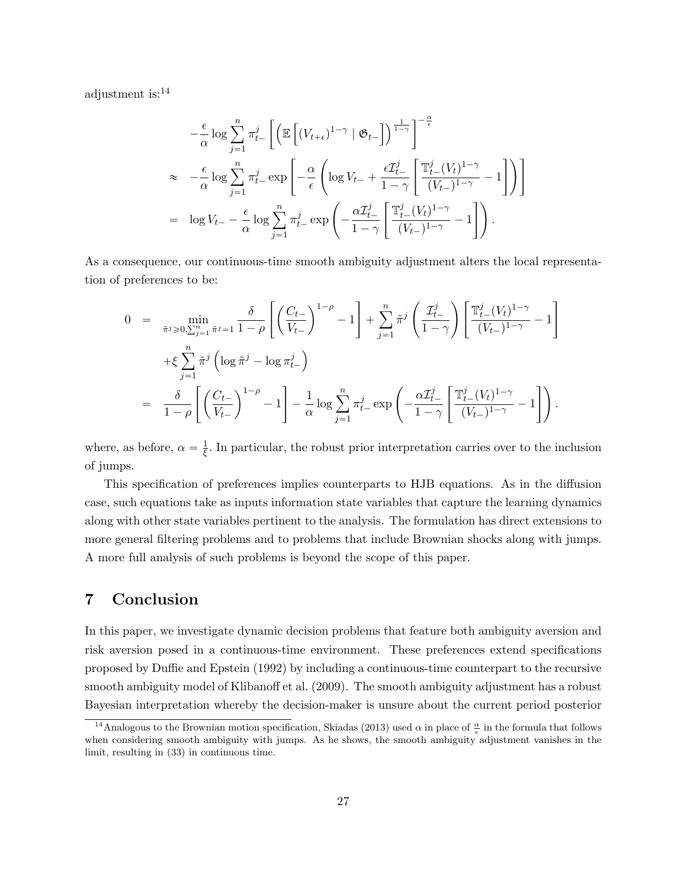adjustment is:<sup>14</sup>

$$
-\frac{\epsilon}{\alpha} \log \sum_{j=1}^{n} \pi_{t-}^{j} \left[ \left( \mathbb{E} \left[ (V_{t+\epsilon})^{1-\gamma} \mid \mathfrak{G}_{t-} \right] \right)^{\frac{1}{1-\gamma}} \right]^{-\frac{\alpha}{\epsilon}}
$$
  
\n
$$
\approx -\frac{\epsilon}{\alpha} \log \sum_{j=1}^{n} \pi_{t-}^{j} \exp \left[ -\frac{\alpha}{\epsilon} \left( \log V_{t-} + \frac{\epsilon \mathcal{I}_{t-}^{j}}{1-\gamma} \left[ \frac{\mathbb{T}_{t-}^{j}(V_{t})^{1-\gamma}}{(V_{t-})^{1-\gamma}} - 1 \right] \right) \right]
$$
  
\n
$$
= \log V_{t-} - \frac{\epsilon}{\alpha} \log \sum_{j=1}^{n} \pi_{t-}^{j} \exp \left( -\frac{\alpha \mathcal{I}_{t-}^{j}}{1-\gamma} \left[ \frac{\mathbb{T}_{t-}^{j}(V_{t})^{1-\gamma}}{(V_{t-})^{1-\gamma}} - 1 \right] \right).
$$

As a consequence, our continuous-time smooth ambiguity adjustment alters the local representation of preferences to be:

$$
0 = \min_{\tilde{\pi}^j \ge 0, \sum_{j=1}^n \tilde{\pi}^j = 1} \frac{\delta}{1 - \rho} \left[ \left( \frac{C_{t-}}{V_{t-}} \right)^{1 - \rho} - 1 \right] + \sum_{j=1}^n \tilde{\pi}^j \left( \frac{\mathcal{I}_{t-}^j}{1 - \gamma} \right) \left[ \frac{\mathbb{T}_{t-}^j (V_t)^{1 - \gamma}}{(V_{t-})^{1 - \gamma}} - 1 \right] + \xi \sum_{j=1}^n \tilde{\pi}^j \left( \log \tilde{\pi}^j - \log \pi_{t-}^j \right) = \frac{\delta}{1 - \rho} \left[ \left( \frac{C_{t-}}{V_{t-}} \right)^{1 - \rho} - 1 \right] - \frac{1}{\alpha} \log \sum_{j=1}^n \pi_{t-}^j \exp \left( -\frac{\alpha \mathcal{I}_{t-}^j}{1 - \gamma} \left[ \frac{\mathbb{T}_{t-}^j (V_t)^{1 - \gamma}}{(V_{t-})^{1 - \gamma}} - 1 \right] \right).
$$

where, as before,  $\alpha = \frac{1}{5}$  $\frac{1}{\xi}$ . In particular, the robust prior interpretation carries over to the inclusion of jumps.

This specification of preferences implies counterparts to HJB equations. As in the diffusion case, such equations take as inputs information state variables that capture the learning dynamics along with other state variables pertinent to the analysis. The formulation has direct extensions to more general filtering problems and to problems that include Brownian shocks along with jumps. A more full analysis of such problems is beyond the scope of this paper.

# 7 Conclusion

In this paper, we investigate dynamic decision problems that feature both ambiguity aversion and risk aversion posed in a continuous-time environment. These preferences extend specifications proposed by Duffie and Epstein (1992) by including a continuous-time counterpart to the recursive smooth ambiguity model of Klibanoff et al. (2009). The smooth ambiguity adjustment has a robust Bayesian interpretation whereby the decision-maker is unsure about the current period posterior

<sup>&</sup>lt;sup>14</sup>Analogous to the Brownian motion specification, Skiadas (2013) used  $\alpha$  in place of  $\frac{\alpha}{\epsilon}$  in the formula that follows when considering smooth ambiguity with jumps. As he shows, the smooth ambiguity adjustment vanishes in the limit, resulting in (33) in continuous time.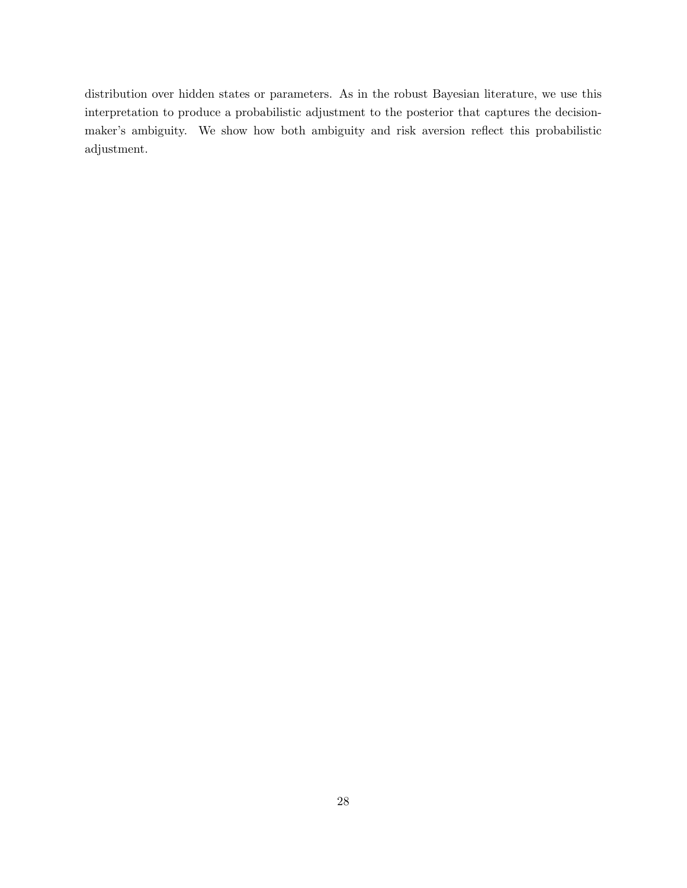distribution over hidden states or parameters. As in the robust Bayesian literature, we use this interpretation to produce a probabilistic adjustment to the posterior that captures the decisionmaker's ambiguity. We show how both ambiguity and risk aversion reflect this probabilistic adjustment.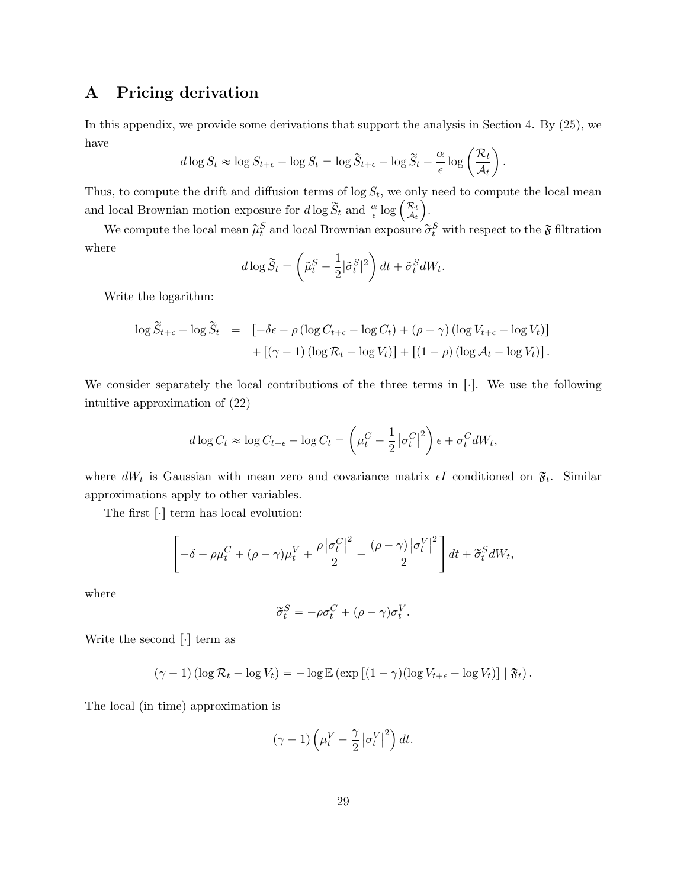# A Pricing derivation

In this appendix, we provide some derivations that support the analysis in Section 4. By (25), we have

$$
d \log S_t \approx \log S_{t+\epsilon} - \log S_t = \log \widetilde{S}_{t+\epsilon} - \log \widetilde{S}_t - \frac{\alpha}{\epsilon} \log \left( \frac{\mathcal{R}_t}{\mathcal{A}_t} \right).
$$

Thus, to compute the drift and diffusion terms of  $\log S_t$ , we only need to compute the local mean Thus, to compute the drift and diffusion terms of log  $S_t$ , we on<br>and local Brownian motion exposure for  $d \log \tilde{S}_t$  and  $\frac{\alpha}{\epsilon} \log \left( \frac{\mathcal{R}_t}{\mathcal{A}_t} \right)$  $\frac{\mathcal{R}_t}{\mathcal{A}_t}$  ).

We compute the local mean  $\tilde{\mu}_t^S$  and local Brownian exposure  $\tilde{\sigma}_t^S$  with respect to the  $\mathfrak F$  filtration where

$$
d\log\widetilde{S}_t = \left(\widetilde{\mu}_t^S - \frac{1}{2}|\widetilde{\sigma}_t^S|^2\right)dt + \widetilde{\sigma}_t^S dW_t.
$$

Write the logarithm:

$$
\log \widetilde{S}_{t+\epsilon} - \log \widetilde{S}_t = \left[ -\delta \epsilon - \rho \left( \log C_{t+\epsilon} - \log C_t \right) + (\rho - \gamma) \left( \log V_{t+\epsilon} - \log V_t \right) \right] + \left[ (\gamma - 1) \left( \log \mathcal{R}_t - \log V_t \right) \right] + \left[ (1 - \rho) \left( \log \mathcal{A}_t - \log V_t \right) \right].
$$

We consider separately the local contributions of the three terms in  $[\cdot]$ . We use the following intuitive approximation of (22)

$$
d \log C_t \approx \log C_{t+\epsilon} - \log C_t = \left(\mu_t^C - \frac{1}{2} |\sigma_t^C|^2\right) \epsilon + \sigma_t^C dW_t,
$$

where  $dW_t$  is Gaussian with mean zero and covariance matrix  $\epsilon I$  conditioned on  $\mathfrak{F}_t$ . Similar approximations apply to other variables.

The first  $\lceil \cdot \rceil$  term has local evolution:

$$
\left[-\delta - \rho \mu_t^C + (\rho - \gamma)\mu_t^V + \frac{\rho |\sigma_t^C|^2}{2} - \frac{(\rho - \gamma) |\sigma_t^V|^2}{2}\right] dt + \tilde{\sigma}_t^S dW_t,
$$

where

$$
\widetilde{\sigma}^{S}_{t}=-\rho\sigma^{C}_{t}+(\rho-\gamma)\sigma^{V}_{t}.
$$

Write the second  $[\cdot]$  term as

$$
(\gamma - 1) (\log \mathcal{R}_t - \log V_t) = -\log \mathbb{E} \left( \exp \left[ (1 - \gamma) (\log V_{t+\epsilon} - \log V_t) \right] \mid \mathfrak{F}_t \right).
$$

The local (in time) approximation is

$$
(\gamma - 1) \left( \mu_t^V - \frac{\gamma}{2} \left| \sigma_t^V \right|^2 \right) dt.
$$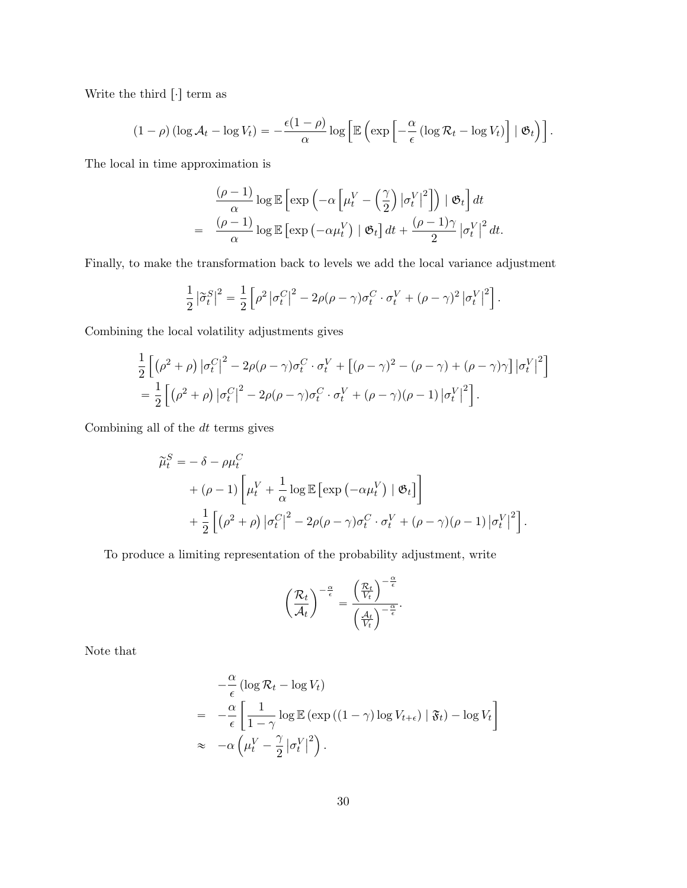Write the third  $[\cdot]$  term as

$$
(1-\rho)\left(\log \mathcal{A}_t - \log V_t\right) = -\frac{\epsilon(1-\rho)}{\alpha}\log\left[\mathbb{E}\left(\exp\left[-\frac{\alpha}{\epsilon}\left(\log \mathcal{R}_t - \log V_t\right)\right] \mid \mathfrak{G}_t\right)\right].
$$

The local in time approximation is

$$
\frac{(\rho - 1)}{\alpha} \log \mathbb{E} \left[ \exp \left( -\alpha \left[ \mu_t^V - \left( \frac{\gamma}{2} \right) |\sigma_t^V|^2 \right] \right) \mid \mathfrak{G}_t \right] dt
$$
  
= 
$$
\frac{(\rho - 1)}{\alpha} \log \mathbb{E} \left[ \exp \left( -\alpha \mu_t^V \right) \mid \mathfrak{G}_t \right] dt + \frac{(\rho - 1)\gamma}{2} |\sigma_t^V|^2 dt.
$$

Finally, to make the transformation back to levels we add the local variance adjustment

$$
\frac{1}{2}\left|\tilde{\sigma}_{t}^{S}\right|^{2}=\frac{1}{2}\left[\rho^{2}\left|\sigma_{t}^{C}\right|^{2}-2\rho(\rho-\gamma)\sigma_{t}^{C}\cdot\sigma_{t}^{V}+(\rho-\gamma)^{2}\left|\sigma_{t}^{V}\right|^{2}\right].
$$

Combining the local volatility adjustments gives

$$
\frac{1}{2}\left[\left(\rho^2+\rho\right)|\sigma_t^C\right]^2 - 2\rho(\rho-\gamma)\sigma_t^C \cdot \sigma_t^V + \left[\left(\rho-\gamma\right)^2 - \left(\rho-\gamma\right) + \left(\rho-\gamma\right)\gamma\right]|\sigma_t^V|^2\right]
$$
\n
$$
= \frac{1}{2}\left[\left(\rho^2+\rho\right)|\sigma_t^C\right]^2 - 2\rho(\rho-\gamma)\sigma_t^C \cdot \sigma_t^V + \left(\rho-\gamma\right)(\rho-1)|\sigma_t^V|^2\right].
$$

Combining all of the  $dt$  terms gives

$$
\widetilde{\mu}_t^S = -\delta - \rho \mu_t^C
$$
  
+  $(\rho - 1) \left[ \mu_t^V + \frac{1}{\alpha} \log \mathbb{E} \left[ \exp \left( -\alpha \mu_t^V \right) \mid \mathfrak{G}_t \right] \right]$   
+  $\frac{1}{2} \left[ (\rho^2 + \rho) \left| \sigma_t^C \right|^2 - 2\rho (\rho - \gamma) \sigma_t^C \cdot \sigma_t^V + (\rho - \gamma) (\rho - 1) \left| \sigma_t^V \right|^2 \right].$ 

To produce a limiting representation of the probability adjustment, write

$$
\left(\frac{\mathcal{R}_t}{\mathcal{A}_t}\right)^{-\frac{\alpha}{\epsilon}} = \frac{\left(\frac{\mathcal{R}_t}{V_t}\right)^{-\frac{\alpha}{\epsilon}}}{\left(\frac{\mathcal{A}_t}{V_t}\right)^{-\frac{\alpha}{\epsilon}}}.
$$

Note that

$$
-\frac{\alpha}{\epsilon} (\log \mathcal{R}_t - \log V_t)
$$
  
= 
$$
-\frac{\alpha}{\epsilon} \left[ \frac{1}{1 - \gamma} \log \mathbb{E} \left( \exp \left( (1 - \gamma) \log V_{t + \epsilon} \right) \mid \mathfrak{F}_t \right) - \log V_t \right]
$$
  

$$
\approx -\alpha \left( \mu_t^V - \frac{\gamma}{2} \left| \sigma_t^V \right|^2 \right).
$$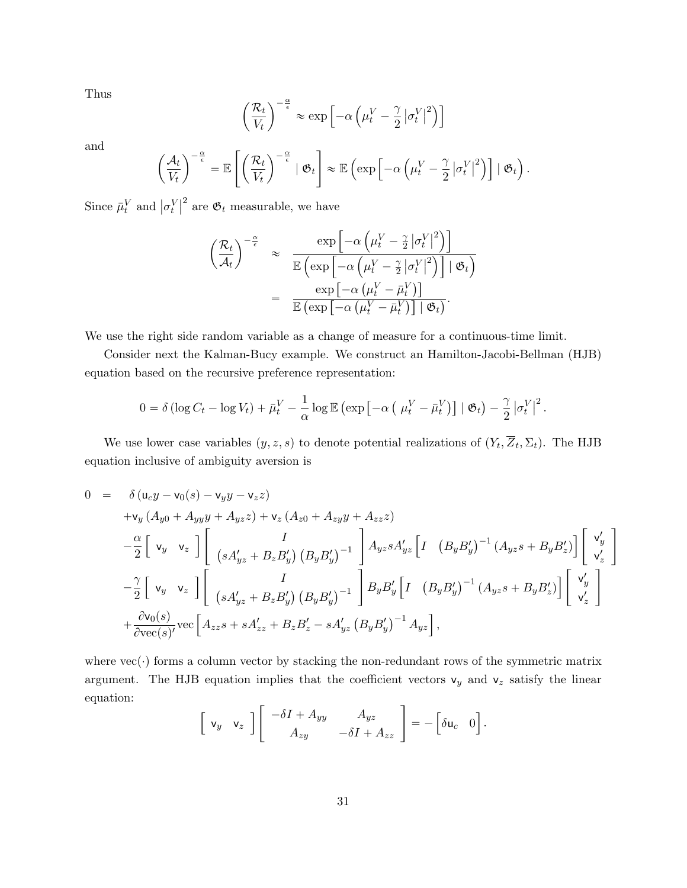Thus

$$
\frac{\mathcal{R}_t}{V_t}\bigg)^{-\frac{\alpha}{\epsilon}} \approx \exp\left[-\alpha \left(\mu_t^V - \frac{\gamma}{2} |\sigma_t^V|^2\right)\right]
$$

and

$$
\left(\frac{\mathcal{A}_t}{V_t}\right)^{-\frac{\alpha}{\epsilon}} = \mathbb{E}\left[\left(\frac{\mathcal{R}_t}{V_t}\right)^{-\frac{\alpha}{\epsilon}} | \mathfrak{G}_t\right] \approx \mathbb{E}\left(\exp\left[-\alpha\left(\mu_t^V - \frac{\gamma}{2}|\sigma_t^V|^2\right)\right] | \mathfrak{G}_t\right).
$$

Since  $\bar{\mu}_t^V$  and  $\vert \sigma_t^V$  $\left| \right|^2$  are  $\mathfrak{G}_t$  measurable, we have

$$
\left(\frac{\mathcal{R}_t}{\mathcal{A}_t}\right)^{-\frac{\alpha}{\epsilon}} \approx \frac{\exp\left[-\alpha\left(\mu_t^V - \frac{\gamma}{2}|\sigma_t^V|^2\right)\right]}{\mathbb{E}\left(\exp\left[-\alpha\left(\mu_t^V - \frac{\gamma}{2}|\sigma_t^V|^2\right)\right] \mid \mathfrak{G}_t\right)}
$$

$$
= \frac{\exp\left[-\alpha\left(\mu_t^V - \bar{\mu}_t^V\right)\right]}{\mathbb{E}\left(\exp\left[-\alpha\left(\mu_t^V - \bar{\mu}_t^V\right)\right] \mid \mathfrak{G}_t\right)}.
$$

We use the right side random variable as a change of measure for a continuous-time limit.

Consider next the Kalman-Bucy example. We construct an Hamilton-Jacobi-Bellman (HJB) equation based on the recursive preference representation:

$$
0 = \delta \left( \log C_t - \log V_t \right) + \bar{\mu}_t^V - \frac{1}{\alpha} \log \mathbb{E} \left( \exp \left[ -\alpha \left( \mu_t^V - \bar{\mu}_t^V \right) \right] \mid \mathfrak{G}_t \right) - \frac{\gamma}{2} \left| \sigma_t^V \right|^2.
$$

We use lower case variables  $(y, z, s)$  to denote potential realizations of  $(Y_t, Z_t, \Sigma_t)$ . The HJB equation inclusive of ambiguity aversion is

$$
0 = \delta (u_{c}y - v_{0}(s) - v_{y}y - v_{z}z)
$$
  
\n
$$
+v_{y} (A_{y0} + A_{yy}y + A_{yz}z) + v_{z} (A_{z0} + A_{zy}y + A_{zz}z)
$$
  
\n
$$
-\frac{\alpha}{2} \begin{bmatrix} v_{y} & v_{z} \end{bmatrix} \begin{bmatrix} I \\ (sA'_{yz} + B_{z}B'_{y}) (B_{y}B'_{y})^{-1} \end{bmatrix} A_{yz}sA'_{yz} \begin{bmatrix} I \\ (B_{y}B'_{y})^{-1} (A_{yz}s + B_{y}B'_{z}) \end{bmatrix} \begin{bmatrix} v'_{y} \\ v'_{z} \end{bmatrix}
$$
  
\n
$$
-\frac{\gamma}{2} \begin{bmatrix} v_{y} & v_{z} \end{bmatrix} \begin{bmatrix} I \\ (sA'_{yz} + B_{z}B'_{y}) (B_{y}B'_{y})^{-1} \end{bmatrix} B_{y}B'_{y} \begin{bmatrix} I \\ (B_{y}B'_{y})^{-1} (A_{yz}s + B_{y}B'_{z}) \end{bmatrix} \begin{bmatrix} v'_{y} \\ v'_{z} \end{bmatrix}
$$
  
\n
$$
+ \frac{\partial v_{0}(s)}{\partial \text{vec}(s)} \text{vec} \begin{bmatrix} A_{zz}s + sA'_{zz} + B_{z}B'_{z} - sA'_{yz} (B_{y}B'_{y})^{-1} A_{yz} \end{bmatrix},
$$

where  $\text{vec}(\cdot)$  forms a column vector by stacking the non-redundant rows of the symmetric matrix argument. The HJB equation implies that the coefficient vectors  $v_y$  and  $v_z$  satisfy the linear equation: «

$$
\left[\begin{array}{cc} \mathsf{v}_y & \mathsf{v}_z \end{array}\right] \left[\begin{array}{cc} -\delta I + A_{yy} & A_{yz} \\ A_{zy} & -\delta I + A_{zz} \end{array}\right] = -\left[\begin{array}{cc} \delta \mathsf{u}_c & 0 \end{array}\right].
$$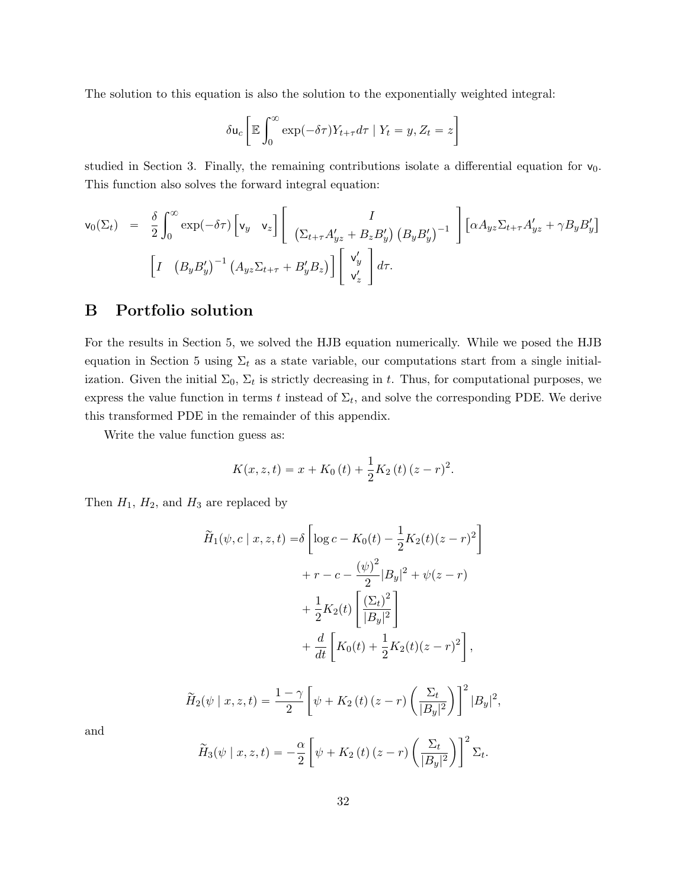The solution to this equation is also the solution to the exponentially weighted integral:

$$
\delta \mathsf{u}_c \bigg[ \mathbb{E} \int_0^\infty \exp(-\delta \tau) Y_{t+\tau} d\tau \mid Y_t = y, Z_t = z \bigg]
$$

studied in Section 3. Finally, the remaining contributions isolate a differential equation for  $v_0$ . This function also solves the forward integral equation:

$$
\mathsf{v}_0(\Sigma_t) = \frac{\delta}{2} \int_0^\infty \exp(-\delta \tau) \left[ \mathsf{v}_y \quad \mathsf{v}_z \right] \left[ \begin{array}{c} I \\ \left( \Sigma_{t+\tau} A'_{yz} + B_z B'_y \right) \left( B_y B'_y \right)^{-1} \end{array} \right] \left[ \alpha A_{yz} \Sigma_{t+\tau} A'_{yz} + \gamma B_y B'_y \right]
$$

$$
\left[ I \quad \left( B_y B'_y \right)^{-1} \left( A_{yz} \Sigma_{t+\tau} + B'_y B_z \right) \right] \left[ \begin{array}{c} V'_y \\ \mathsf{v}'_z \end{array} \right] d\tau.
$$

# B Portfolio solution

For the results in Section 5, we solved the HJB equation numerically. While we posed the HJB equation in Section 5 using  $\Sigma_t$  as a state variable, our computations start from a single initialization. Given the initial  $\Sigma_0$ ,  $\Sigma_t$  is strictly decreasing in t. Thus, for computational purposes, we express the value function in terms t instead of  $\Sigma_t$ , and solve the corresponding PDE. We derive this transformed PDE in the remainder of this appendix.

Write the value function guess as:

$$
K(x, z, t) = x + K_0(t) + \frac{1}{2}K_2(t)(z - r)^2.
$$

Then  $H_1$ ,  $H_2$ , and  $H_3$  are replaced by

$$
\widetilde{H}_1(\psi, c \mid x, z, t) = \delta \left[ \log c - K_0(t) - \frac{1}{2} K_2(t) (z - r)^2 \right] \n+ r - c - \frac{(\psi)^2}{2} |B_y|^2 + \psi(z - r) \n+ \frac{1}{2} K_2(t) \left[ \frac{(\Sigma_t)^2}{|B_y|^2} \right] \n+ \frac{d}{dt} \left[ K_0(t) + \frac{1}{2} K_2(t) (z - r)^2 \right],
$$

$$
\widetilde{H}_2(\psi \mid x, z, t) = \frac{1 - \gamma}{2} \left[ \psi + K_2(t) \left( z - r \right) \left( \frac{\Sigma_t}{|B_y|^2} \right) \right]^2 |B_y|^2,
$$

and

$$
\widetilde{H}_3(\psi \mid x, z, t) = -\frac{\alpha}{2} \left[ \psi + K_2(t) \left( z - r \right) \left( \frac{\Sigma_t}{|B_y|^2} \right) \right]^2 \Sigma_t.
$$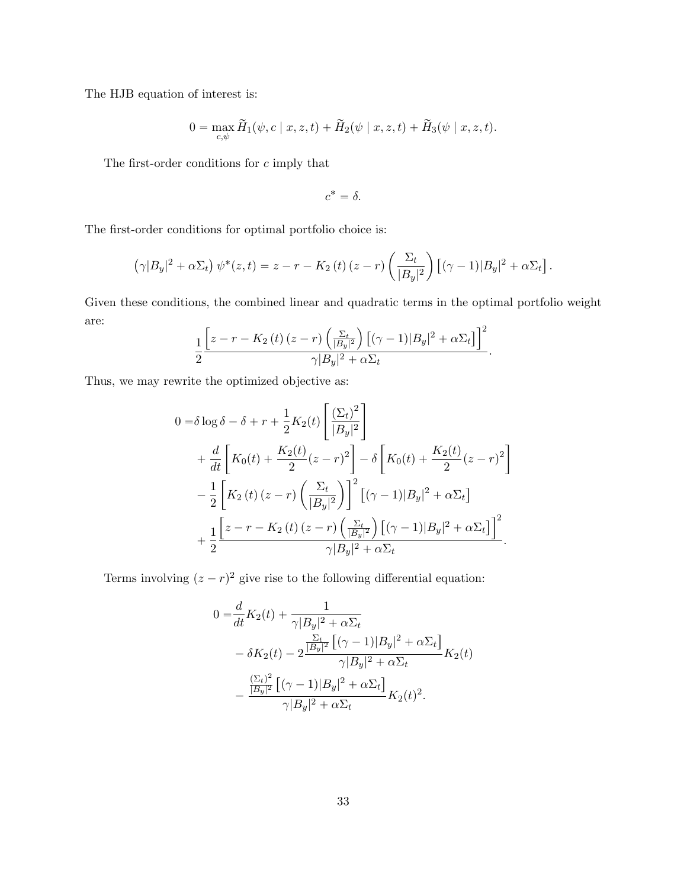The HJB equation of interest is:

$$
0 = \max_{c,\psi} \widetilde{H}_1(\psi, c \mid x, z, t) + \widetilde{H}_2(\psi \mid x, z, t) + \widetilde{H}_3(\psi \mid x, z, t).
$$

The first-order conditions for  $c$  imply that

$$
c^*=\delta.
$$

The first-order conditions for optimal portfolio choice is:

$$
(\gamma |B_y|^2 + \alpha \Sigma_t) \psi^*(z, t) = z - r - K_2(t) (z - r) \left(\frac{\Sigma_t}{|B_y|^2}\right) \left[ (\gamma - 1)|B_y|^2 + \alpha \Sigma_t \right].
$$

Given these conditions, the combined linear and quadratic terms in the optimal portfolio weight are: "  $\mathbf{r}$ ‰  $\overline{2}$ 

$$
\frac{1}{2}\frac{\left[z-r-K_2\left(t\right)\left(z-r\right)\left(\frac{\Sigma_t}{|B_y|^2}\right)\left[(\gamma-1)|B_y|^2+\alpha\Sigma_t\right]\right]^2}{\gamma|B_y|^2+\alpha\Sigma_t}.
$$

Thus, we may rewrite the optimized objective as:

$$
0 = \delta \log \delta - \delta + r + \frac{1}{2} K_2(t) \left[ \frac{(\Sigma_t)^2}{|B_y|^2} \right] + \frac{d}{dt} \left[ K_0(t) + \frac{K_2(t)}{2} (z - r)^2 \right] - \delta \left[ K_0(t) + \frac{K_2(t)}{2} (z - r)^2 \right] - \frac{1}{2} \left[ K_2(t) (z - r) \left( \frac{\Sigma_t}{|B_y|^2} \right) \right]^2 \left[ (\gamma - 1) |B_y|^2 + \alpha \Sigma_t \right] + \frac{1}{2} \frac{\left[ z - r - K_2(t) (z - r) \left( \frac{\Sigma_t}{|B_y|^2} \right) \left[ (\gamma - 1) |B_y|^2 + \alpha \Sigma_t \right] \right]^2}{\gamma |B_y|^2 + \alpha \Sigma_t}.
$$

Terms involving  $(z - r)^2$  give rise to the following differential equation:

$$
0 = \frac{d}{dt} K_2(t) + \frac{1}{\gamma |B_y|^2 + \alpha \Sigma_t} - \delta K_2(t) - 2 \frac{\frac{\Sigma_t}{|B_y|^2} \left[ (\gamma - 1) |B_y|^2 + \alpha \Sigma_t \right]}{\gamma |B_y|^2 + \alpha \Sigma_t} K_2(t) - \frac{\frac{(\Sigma_t)^2}{|B_y|^2} \left[ (\gamma - 1) |B_y|^2 + \alpha \Sigma_t \right]}{\gamma |B_y|^2 + \alpha \Sigma_t} K_2(t)^2.
$$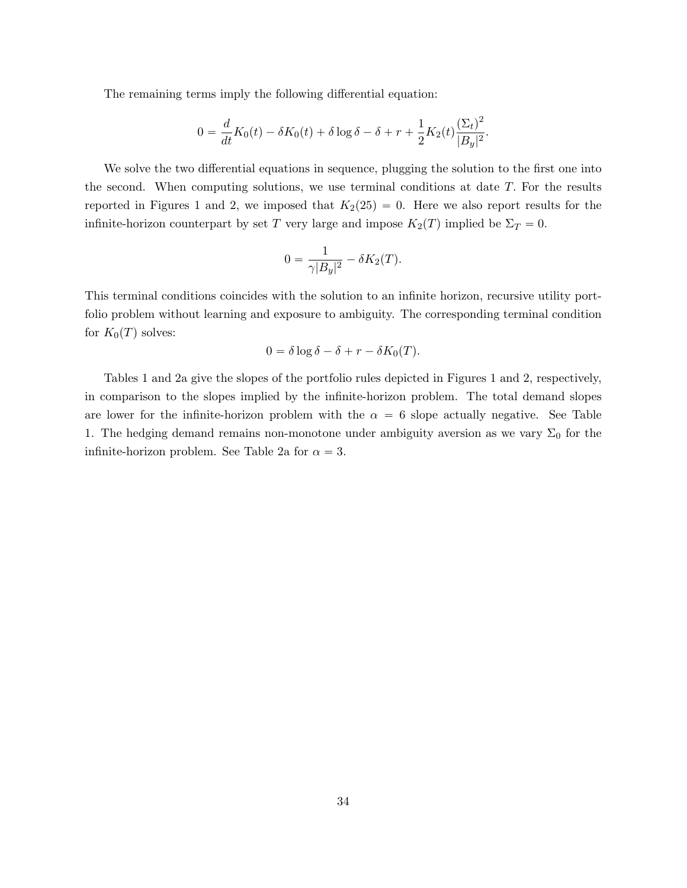The remaining terms imply the following differential equation:

$$
0 = \frac{d}{dt}K_0(t) - \delta K_0(t) + \delta \log \delta - \delta + r + \frac{1}{2}K_2(t)\frac{(\Sigma_t)^2}{|B_y|^2}.
$$

We solve the two differential equations in sequence, plugging the solution to the first one into the second. When computing solutions, we use terminal conditions at date T. For the results reported in Figures 1 and 2, we imposed that  $K_2(25) = 0$ . Here we also report results for the infinite-horizon counterpart by set T very large and impose  $K_2(T)$  implied be  $\Sigma_T = 0$ .

$$
0 = \frac{1}{\gamma |B_y|^2} - \delta K_2(T).
$$

This terminal conditions coincides with the solution to an infinite horizon, recursive utility portfolio problem without learning and exposure to ambiguity. The corresponding terminal condition for  $K_0(T)$  solves:

$$
0 = \delta \log \delta - \delta + r - \delta K_0(T).
$$

Tables 1 and 2a give the slopes of the portfolio rules depicted in Figures 1 and 2, respectively, in comparison to the slopes implied by the infinite-horizon problem. The total demand slopes are lower for the infinite-horizon problem with the  $\alpha = 6$  slope actually negative. See Table 1. The hedging demand remains non-monotone under ambiguity aversion as we vary  $\Sigma_0$  for the infinite-horizon problem. See Table 2a for  $\alpha = 3$ .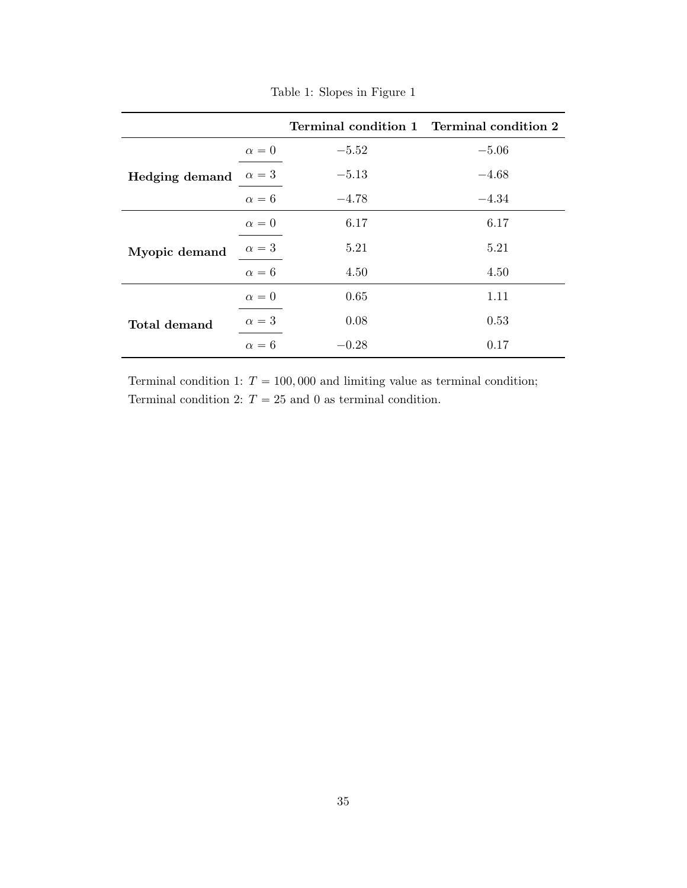|                       |              | Terminal condition 1 Terminal condition 2 |         |
|-----------------------|--------------|-------------------------------------------|---------|
|                       | $\alpha = 0$ | $-5.52$                                   | $-5.06$ |
| <b>Hedging demand</b> | $\alpha=3$   | $-5.13$                                   | $-4.68$ |
|                       | $\alpha = 6$ | $-4.78$                                   | $-4.34$ |
|                       | $\alpha = 0$ | 6.17                                      | 6.17    |
| Myopic demand         | $\alpha=3$   | 5.21                                      | 5.21    |
|                       | $\alpha = 6$ | 4.50                                      | 4.50    |
|                       | $\alpha = 0$ | 0.65                                      | 1.11    |
| Total demand          | $\alpha=3$   | 0.08                                      | 0.53    |
|                       | $\alpha = 6$ | $-0.28$                                   | 0.17    |

Table 1: Slopes in Figure 1

Terminal condition 1:  $T = 100,000$  and limiting value as terminal condition; Terminal condition 2:  $T = 25$  and 0 as terminal condition.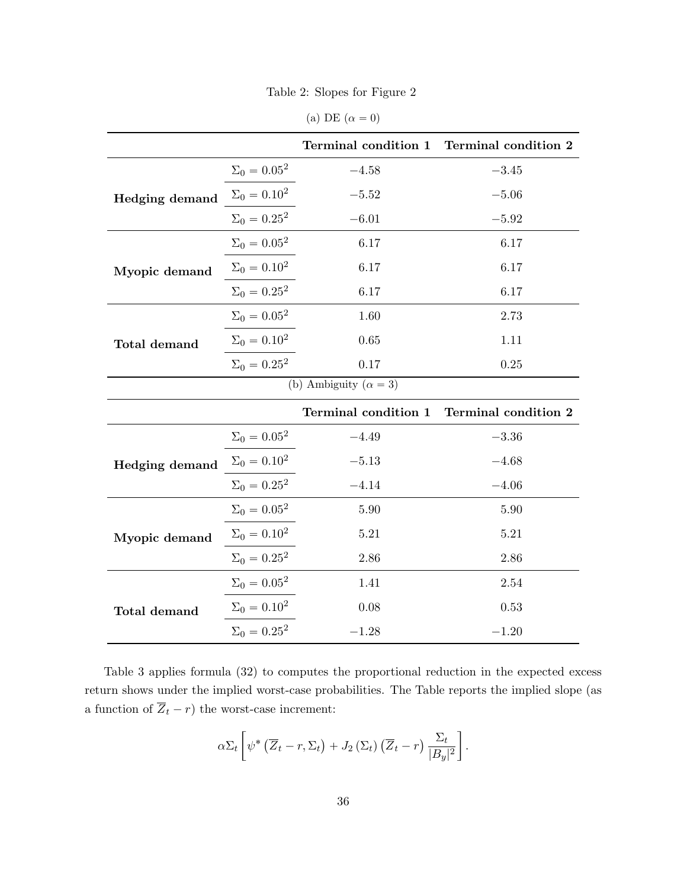Table 2: Slopes for Figure 2

(a) DE  $(\alpha = 0)$ 

|                                |                     | Terminal condition 1 | Terminal condition 2 |  |  |
|--------------------------------|---------------------|----------------------|----------------------|--|--|
| <b>Hedging demand</b>          | $\Sigma_0 = 0.05^2$ | $-4.58$              | $-3.45$              |  |  |
|                                | $\Sigma_0 = 0.10^2$ | $-5.52$              | $-5.06$              |  |  |
|                                | $\Sigma_0 = 0.25^2$ | $-6.01$              | $-5.92$              |  |  |
| Myopic demand                  | $\Sigma_0 = 0.05^2$ | 6.17                 | 6.17                 |  |  |
|                                | $\Sigma_0 = 0.10^2$ | 6.17                 | 6.17                 |  |  |
|                                | $\Sigma_0 = 0.25^2$ | 6.17                 | 6.17                 |  |  |
| Total demand                   | $\Sigma_0=0.05^2$   | 1.60                 | 2.73                 |  |  |
|                                | $\Sigma_0=0.10^2$   | 0.65                 | 1.11                 |  |  |
|                                | $\Sigma_0 = 0.25^2$ | 0.17                 | 0.25                 |  |  |
| (b) Ambiguity ( $\alpha = 3$ ) |                     |                      |                      |  |  |
|                                |                     | Terminal condition 1 | Terminal condition 2 |  |  |
| Hedging demand                 | $\Sigma_0=0.05^2$   | $-4.49$              | $-3.36$              |  |  |
|                                | $\Sigma_0 = 0.10^2$ | $-5.13$              | $-4.68$              |  |  |
|                                | $\Sigma_0 = 0.25^2$ | $-4.14\,$            | $-4.06$              |  |  |
| Myopic demand                  | $\Sigma_0=0.05^2$   | 5.90                 | 5.90                 |  |  |
|                                | $\Sigma_0 = 0.10^2$ | 5.21                 | 5.21                 |  |  |
|                                | $\Sigma_0 = 0.25^2$ | 2.86                 | 2.86                 |  |  |
| Total demand                   | $\Sigma_0 = 0.05^2$ | 1.41                 | 2.54                 |  |  |
|                                | $\Sigma_0 = 0.10^2$ | 0.08                 | 0.53                 |  |  |
|                                | $\Sigma_0 = 0.25^2$ | $-1.28$              | $-1.20$              |  |  |

Table 3 applies formula (32) to computes the proportional reduction in the expected excess return shows under the implied worst-case probabilities. The Table reports the implied slope (as a function of  $\overline{Z}_t - r)$  the worst-case increment:

$$
\alpha \Sigma_t \left[ \psi^* \left( \overline{Z}_t - r, \Sigma_t \right) + J_2 \left( \Sigma_t \right) \left( \overline{Z}_t - r \right) \frac{\Sigma_t}{|B_y|^2} \right].
$$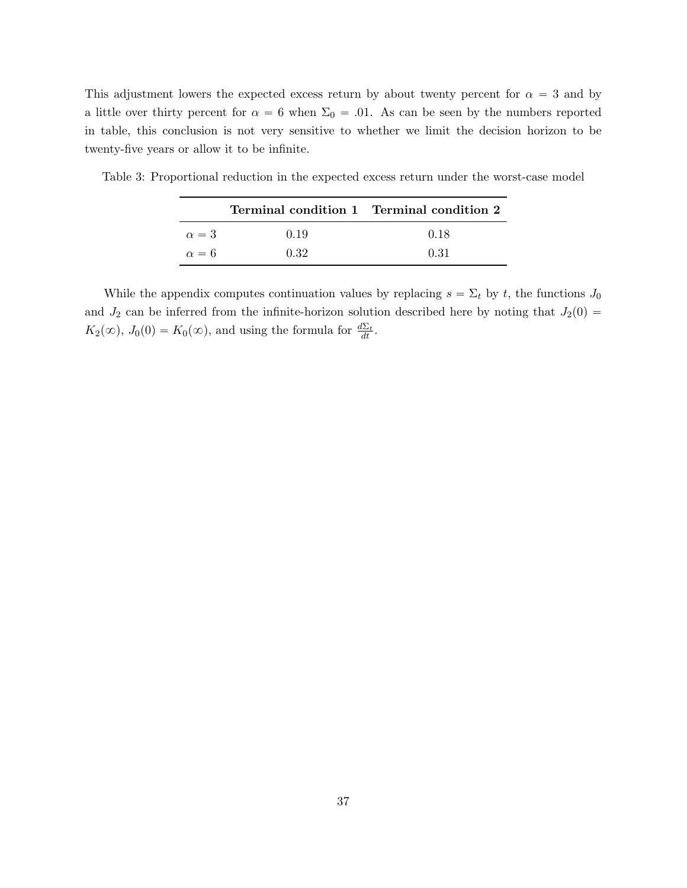This adjustment lowers the expected excess return by about twenty percent for  $\alpha = 3$  and by a little over thirty percent for  $\alpha = 6$  when  $\Sigma_0 = .01$ . As can be seen by the numbers reported in table, this conclusion is not very sensitive to whether we limit the decision horizon to be twenty-five years or allow it to be infinite.

|              |      | Terminal condition 1 Terminal condition 2 |
|--------------|------|-------------------------------------------|
| $\alpha = 3$ | 0.19 | 0.18                                      |
| $\alpha = 6$ | 0.32 | 0.31                                      |

Table 3: Proportional reduction in the expected excess return under the worst-case model

While the appendix computes continuation values by replacing  $s = \Sigma_t$  by t, the functions  $J_0$ and  $J_2$  can be inferred from the infinite-horizon solution described here by noting that  $J_2(0)$  =  $K_2(\infty)$ ,  $J_0(0) = K_0(\infty)$ , and using the formula for  $\frac{d\Sigma_t}{dt}$ .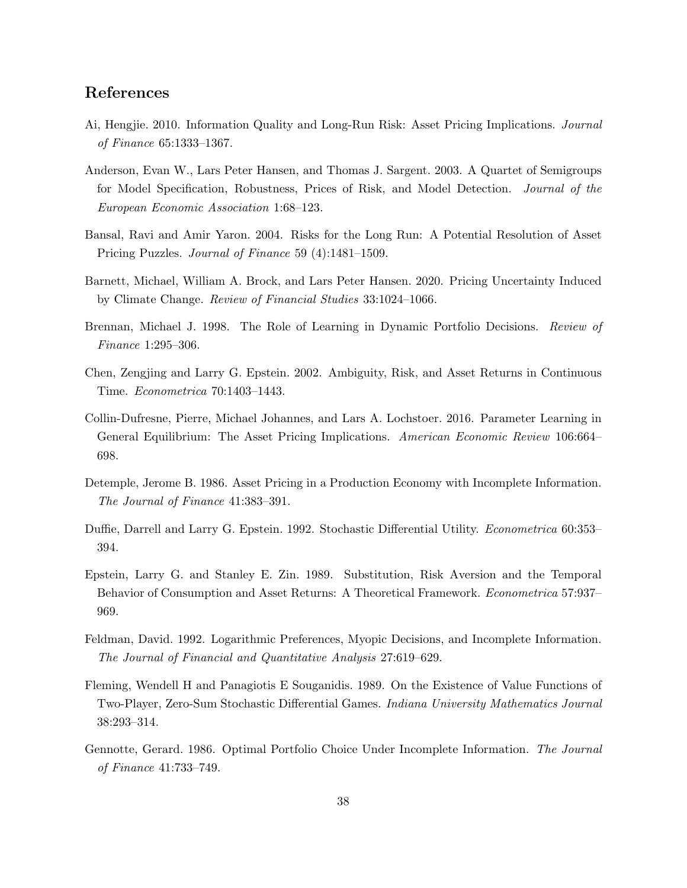# References

- Ai, Hengjie. 2010. Information Quality and Long-Run Risk: Asset Pricing Implications. Journal of Finance 65:1333–1367.
- Anderson, Evan W., Lars Peter Hansen, and Thomas J. Sargent. 2003. A Quartet of Semigroups for Model Specification, Robustness, Prices of Risk, and Model Detection. Journal of the European Economic Association 1:68–123.
- Bansal, Ravi and Amir Yaron. 2004. Risks for the Long Run: A Potential Resolution of Asset Pricing Puzzles. Journal of Finance 59 (4):1481–1509.
- Barnett, Michael, William A. Brock, and Lars Peter Hansen. 2020. Pricing Uncertainty Induced by Climate Change. Review of Financial Studies 33:1024–1066.
- Brennan, Michael J. 1998. The Role of Learning in Dynamic Portfolio Decisions. Review of Finance 1:295–306.
- Chen, Zengjing and Larry G. Epstein. 2002. Ambiguity, Risk, and Asset Returns in Continuous Time. Econometrica 70:1403–1443.
- Collin-Dufresne, Pierre, Michael Johannes, and Lars A. Lochstoer. 2016. Parameter Learning in General Equilibrium: The Asset Pricing Implications. American Economic Review 106:664– 698.
- Detemple, Jerome B. 1986. Asset Pricing in a Production Economy with Incomplete Information. The Journal of Finance 41:383–391.
- Duffie, Darrell and Larry G. Epstein. 1992. Stochastic Differential Utility. *Econometrica* 60:353– 394.
- Epstein, Larry G. and Stanley E. Zin. 1989. Substitution, Risk Aversion and the Temporal Behavior of Consumption and Asset Returns: A Theoretical Framework. Econometrica 57:937– 969.
- Feldman, David. 1992. Logarithmic Preferences, Myopic Decisions, and Incomplete Information. The Journal of Financial and Quantitative Analysis 27:619–629.
- Fleming, Wendell H and Panagiotis E Souganidis. 1989. On the Existence of Value Functions of Two-Player, Zero-Sum Stochastic Differential Games. Indiana University Mathematics Journal 38:293–314.
- Gennotte, Gerard. 1986. Optimal Portfolio Choice Under Incomplete Information. The Journal of Finance 41:733–749.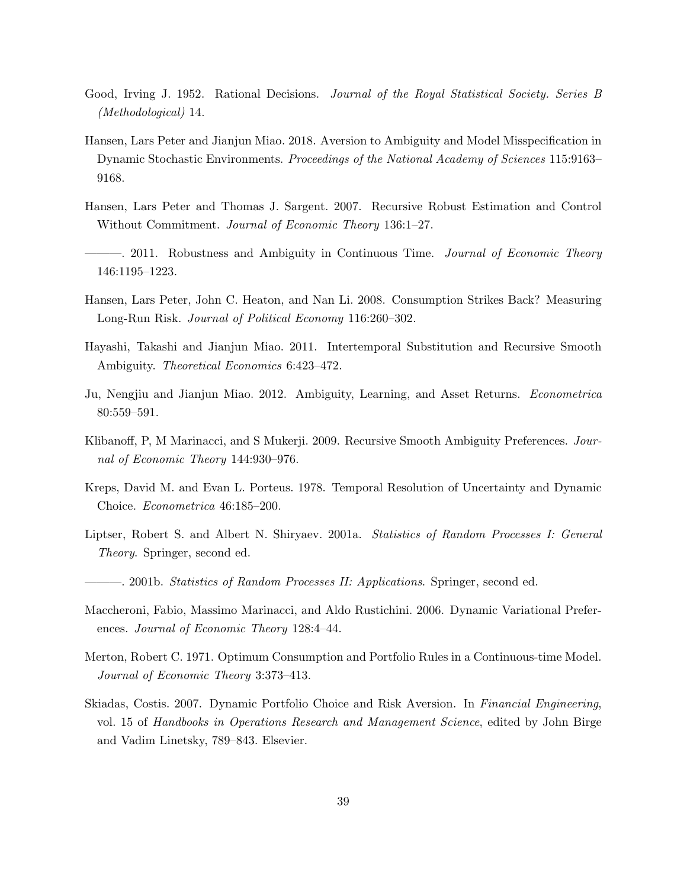- Good, Irving J. 1952. Rational Decisions. Journal of the Royal Statistical Society. Series B (Methodological) 14.
- Hansen, Lars Peter and Jianjun Miao. 2018. Aversion to Ambiguity and Model Misspecification in Dynamic Stochastic Environments. Proceedings of the National Academy of Sciences 115:9163– 9168.
- Hansen, Lars Peter and Thomas J. Sargent. 2007. Recursive Robust Estimation and Control Without Commitment. Journal of Economic Theory 136:1-27.
- 2011. Robustness and Ambiguity in Continuous Time. *Journal of Economic Theory* 146:1195–1223.
- Hansen, Lars Peter, John C. Heaton, and Nan Li. 2008. Consumption Strikes Back? Measuring Long-Run Risk. Journal of Political Economy 116:260–302.
- Hayashi, Takashi and Jianjun Miao. 2011. Intertemporal Substitution and Recursive Smooth Ambiguity. Theoretical Economics 6:423–472.
- Ju, Nengjiu and Jianjun Miao. 2012. Ambiguity, Learning, and Asset Returns. Econometrica 80:559–591.
- Klibanoff, P, M Marinacci, and S Mukerji. 2009. Recursive Smooth Ambiguity Preferences. Journal of Economic Theory 144:930–976.
- Kreps, David M. and Evan L. Porteus. 1978. Temporal Resolution of Uncertainty and Dynamic Choice. Econometrica 46:185–200.
- Liptser, Robert S. and Albert N. Shiryaev. 2001a. Statistics of Random Processes I: General Theory. Springer, second ed.
- ———. 2001b. Statistics of Random Processes II: Applications. Springer, second ed.
- Maccheroni, Fabio, Massimo Marinacci, and Aldo Rustichini. 2006. Dynamic Variational Preferences. Journal of Economic Theory 128:4–44.
- Merton, Robert C. 1971. Optimum Consumption and Portfolio Rules in a Continuous-time Model. Journal of Economic Theory 3:373–413.
- Skiadas, Costis. 2007. Dynamic Portfolio Choice and Risk Aversion. In Financial Engineering, vol. 15 of Handbooks in Operations Research and Management Science, edited by John Birge and Vadim Linetsky, 789–843. Elsevier.